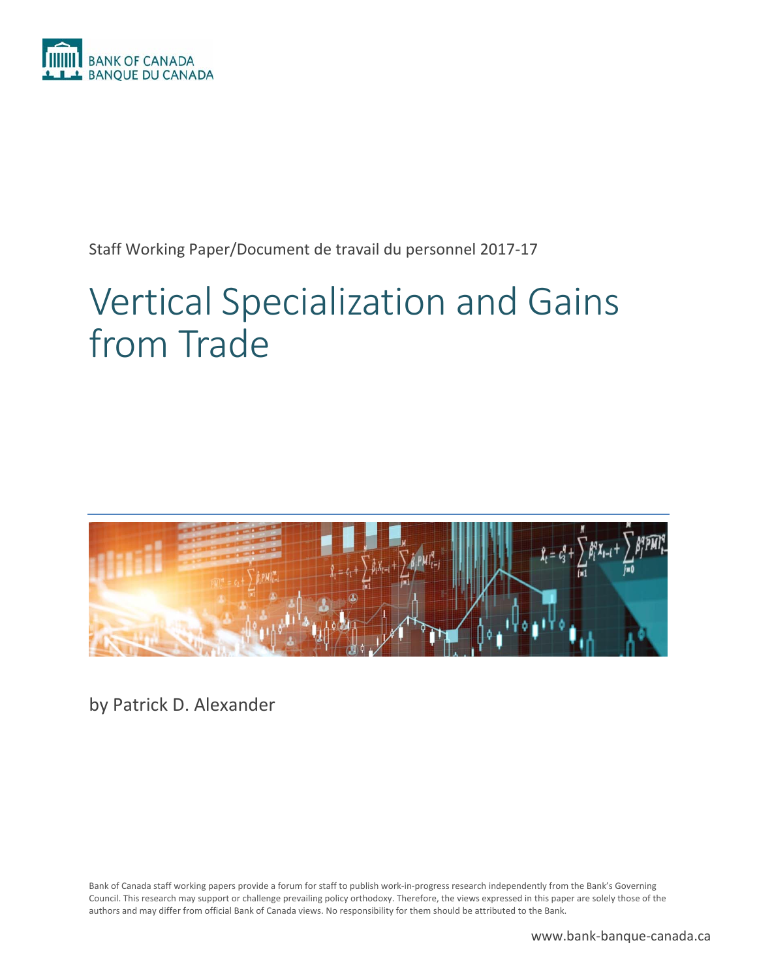

Staff Working Paper/Document de travail du personnel 2017‐17

# Vertical Specialization and Gains from Trade



by Patrick D. Alexander

Bank of Canada staff working papers provide a forum for staff to publish work‐in‐progress research independently from the Bank's Governing Council. This research may support or challenge prevailing policy orthodoxy. Therefore, the views expressed in this paper are solely those of the authors and may differ from official Bank of Canada views. No responsibility for them should be attributed to the Bank.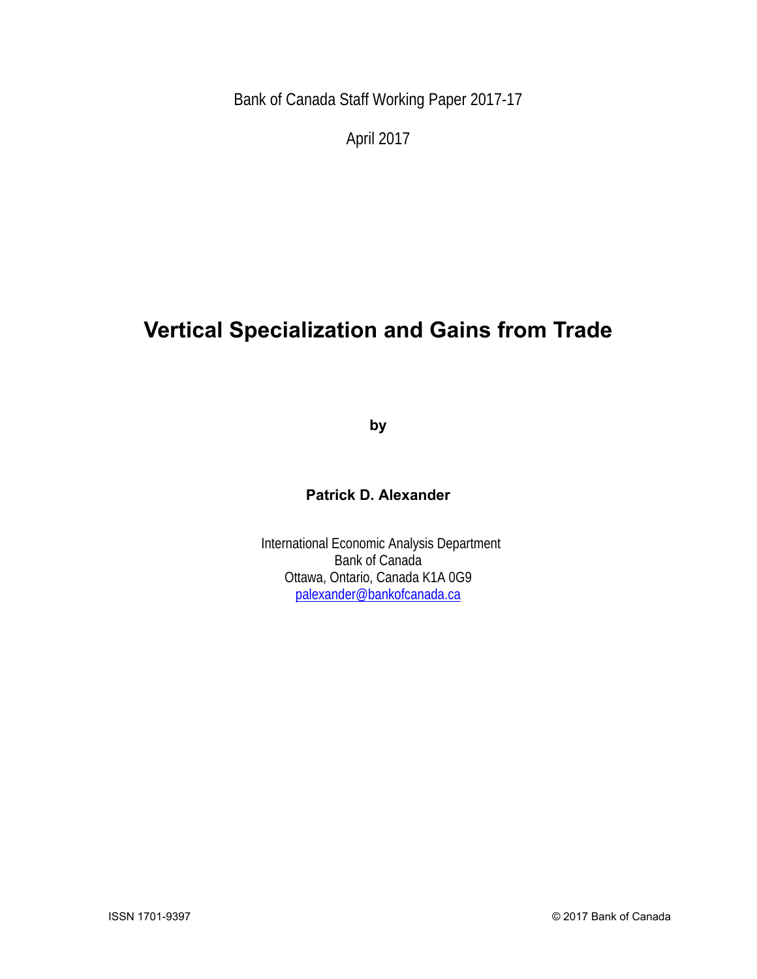Bank of Canada Staff Working Paper 2017-17

April 2017

# **Vertical Specialization and Gains from Trade**

**by** 

### **Patrick D. Alexander**

 International Economic Analysis Department Bank of Canada Ottawa, Ontario, Canada K1A 0G9 palexander@bankofcanada.ca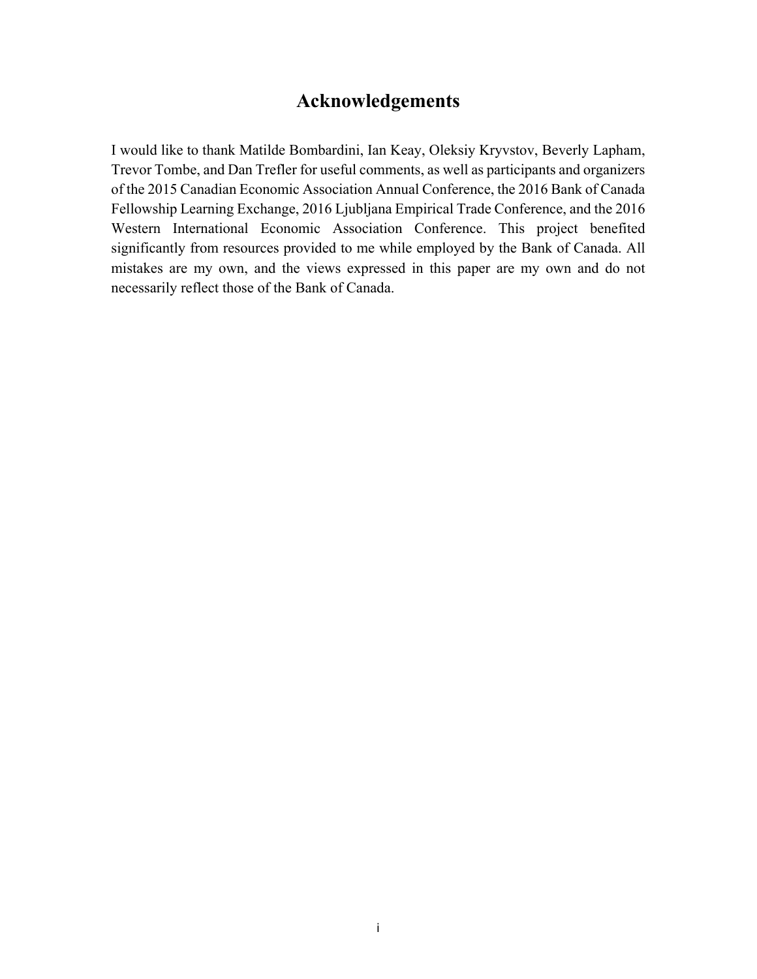# **Acknowledgements**

I would like to thank Matilde Bombardini, Ian Keay, Oleksiy Kryvstov, Beverly Lapham, Trevor Tombe, and Dan Trefler for useful comments, as well as participants and organizers of the 2015 Canadian Economic Association Annual Conference, the 2016 Bank of Canada Fellowship Learning Exchange, 2016 Ljubljana Empirical Trade Conference, and the 2016 Western International Economic Association Conference. This project benefited significantly from resources provided to me while employed by the Bank of Canada. All mistakes are my own, and the views expressed in this paper are my own and do not necessarily reflect those of the Bank of Canada.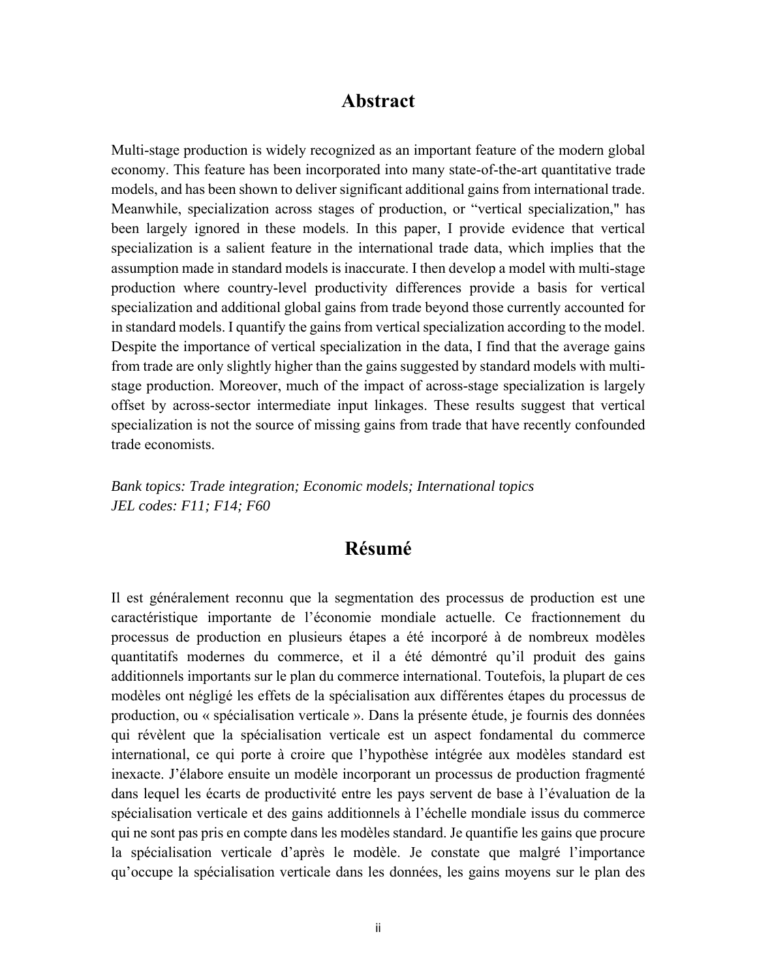#### **Abstract**

Multi-stage production is widely recognized as an important feature of the modern global economy. This feature has been incorporated into many state-of-the-art quantitative trade models, and has been shown to deliver significant additional gains from international trade. Meanwhile, specialization across stages of production, or "vertical specialization," has been largely ignored in these models. In this paper, I provide evidence that vertical specialization is a salient feature in the international trade data, which implies that the assumption made in standard models is inaccurate. I then develop a model with multi-stage production where country-level productivity differences provide a basis for vertical specialization and additional global gains from trade beyond those currently accounted for in standard models. I quantify the gains from vertical specialization according to the model. Despite the importance of vertical specialization in the data, I find that the average gains from trade are only slightly higher than the gains suggested by standard models with multistage production. Moreover, much of the impact of across-stage specialization is largely offset by across-sector intermediate input linkages. These results suggest that vertical specialization is not the source of missing gains from trade that have recently confounded trade economists.

*Bank topics: Trade integration; Economic models; International topics JEL codes: F11; F14; F60* 

## **Résumé**

Il est généralement reconnu que la segmentation des processus de production est une caractéristique importante de l'économie mondiale actuelle. Ce fractionnement du processus de production en plusieurs étapes a été incorporé à de nombreux modèles quantitatifs modernes du commerce, et il a été démontré qu'il produit des gains additionnels importants sur le plan du commerce international. Toutefois, la plupart de ces modèles ont négligé les effets de la spécialisation aux différentes étapes du processus de production, ou « spécialisation verticale ». Dans la présente étude, je fournis des données qui révèlent que la spécialisation verticale est un aspect fondamental du commerce international, ce qui porte à croire que l'hypothèse intégrée aux modèles standard est inexacte. J'élabore ensuite un modèle incorporant un processus de production fragmenté dans lequel les écarts de productivité entre les pays servent de base à l'évaluation de la spécialisation verticale et des gains additionnels à l'échelle mondiale issus du commerce qui ne sont pas pris en compte dans les modèles standard. Je quantifie les gains que procure la spécialisation verticale d'après le modèle. Je constate que malgré l'importance qu'occupe la spécialisation verticale dans les données, les gains moyens sur le plan des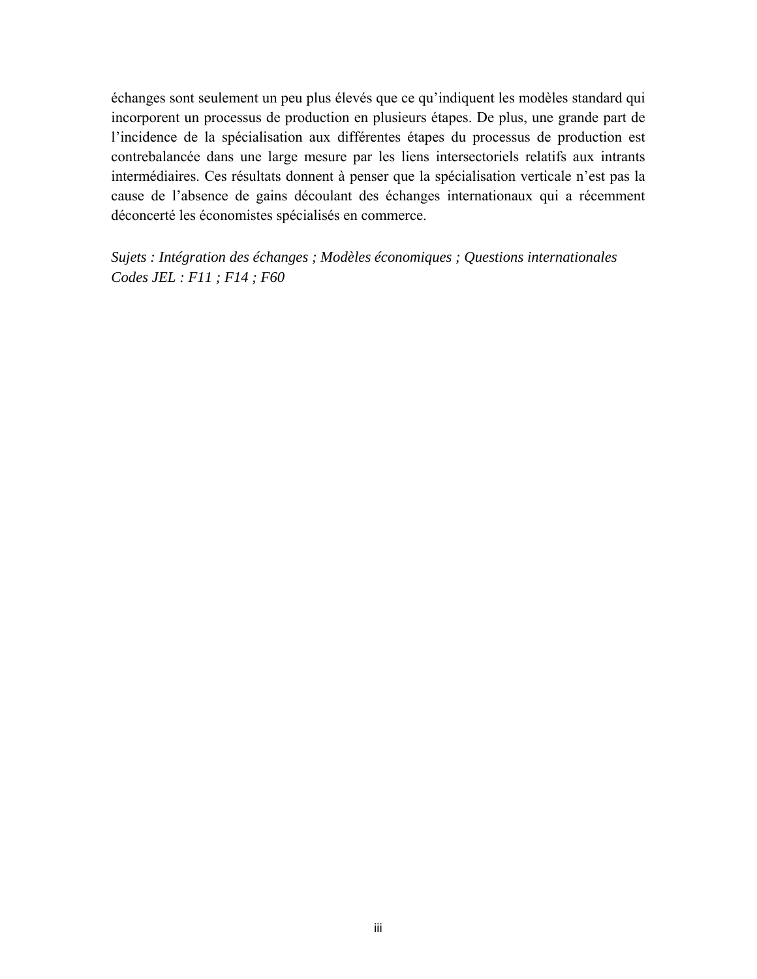échanges sont seulement un peu plus élevés que ce qu'indiquent les modèles standard qui incorporent un processus de production en plusieurs étapes. De plus, une grande part de l'incidence de la spécialisation aux différentes étapes du processus de production est contrebalancée dans une large mesure par les liens intersectoriels relatifs aux intrants intermédiaires. Ces résultats donnent à penser que la spécialisation verticale n'est pas la cause de l'absence de gains découlant des échanges internationaux qui a récemment déconcerté les économistes spécialisés en commerce.

*Sujets : Intégration des échanges ; Modèles économiques ; Questions internationales Codes JEL : F11 ; F14 ; F60*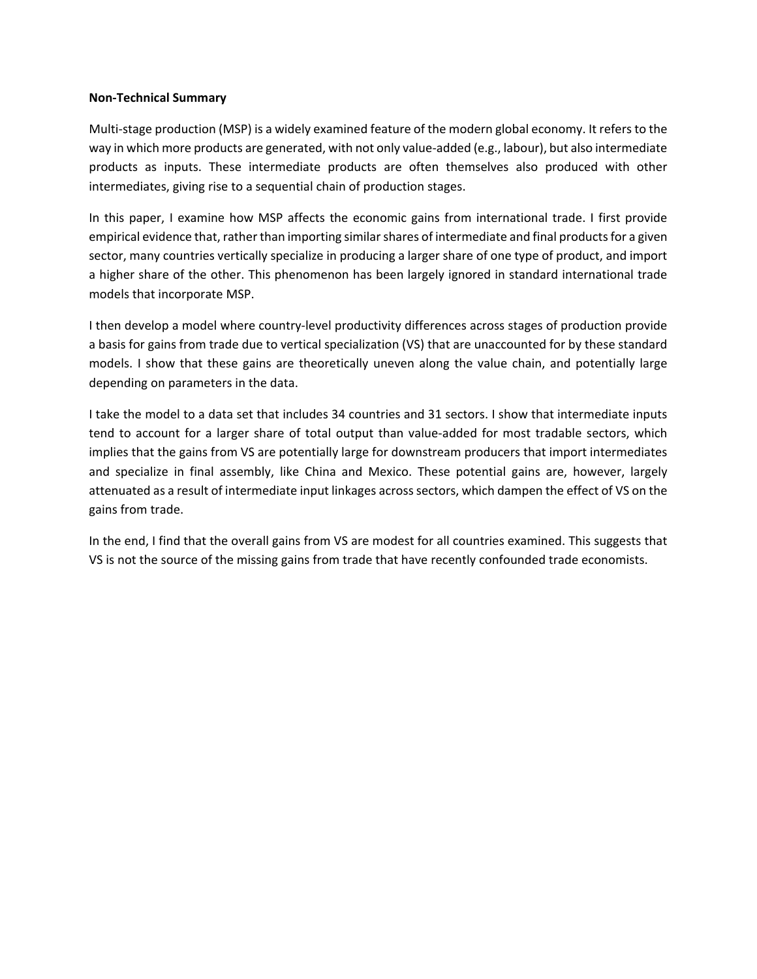#### **Non‐Technical Summary**

Multi-stage production (MSP) is a widely examined feature of the modern global economy. It refers to the way in which more products are generated, with not only value‐added (e.g., labour), but also intermediate products as inputs. These intermediate products are often themselves also produced with other intermediates, giving rise to a sequential chain of production stages.

In this paper, I examine how MSP affects the economic gains from international trade. I first provide empirical evidence that, rather than importing similar shares of intermediate and final products for a given sector, many countries vertically specialize in producing a larger share of one type of product, and import a higher share of the other. This phenomenon has been largely ignored in standard international trade models that incorporate MSP.

I then develop a model where country‐level productivity differences across stages of production provide a basis for gains from trade due to vertical specialization (VS) that are unaccounted for by these standard models. I show that these gains are theoretically uneven along the value chain, and potentially large depending on parameters in the data.

I take the model to a data set that includes 34 countries and 31 sectors. I show that intermediate inputs tend to account for a larger share of total output than value-added for most tradable sectors, which implies that the gains from VS are potentially large for downstream producers that import intermediates and specialize in final assembly, like China and Mexico. These potential gains are, however, largely attenuated as a result of intermediate input linkages across sectors, which dampen the effect of VS on the gains from trade.

In the end, I find that the overall gains from VS are modest for all countries examined. This suggests that VS is not the source of the missing gains from trade that have recently confounded trade economists.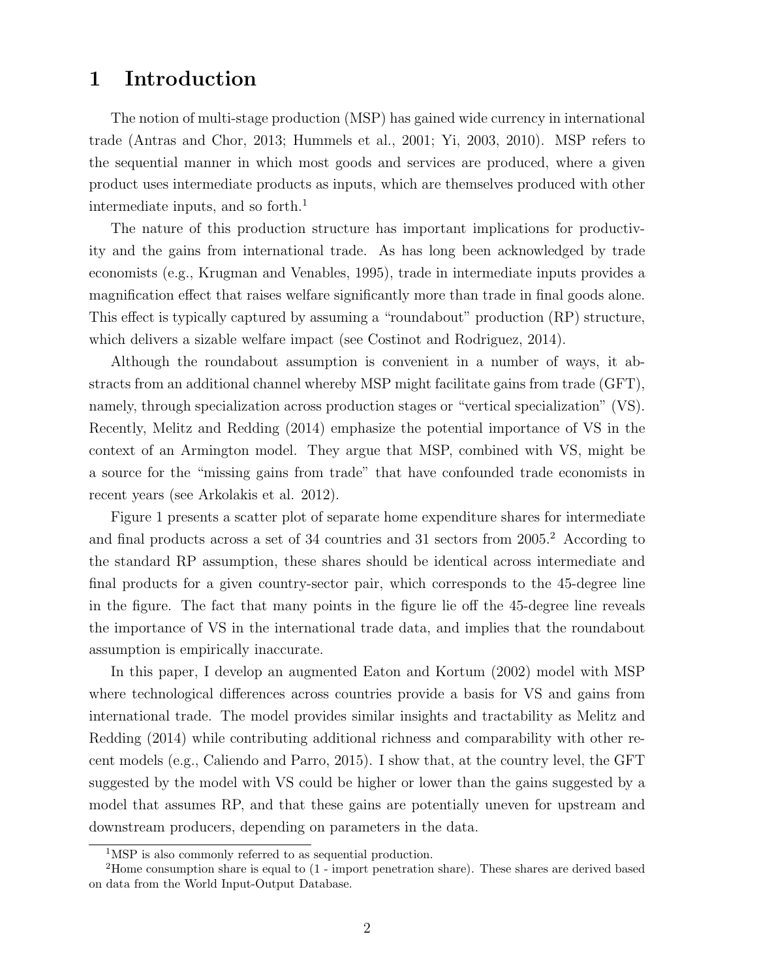# 1 Introduction

The notion of multi-stage production (MSP) has gained wide currency in international trade (Antras and Chor, 2013; Hummels et al., 2001; Yi, 2003, 2010). MSP refers to the sequential manner in which most goods and services are produced, where a given product uses intermediate products as inputs, which are themselves produced with other intermediate inputs, and so forth.<sup>1</sup>

The nature of this production structure has important implications for productivity and the gains from international trade. As has long been acknowledged by trade economists (e.g., Krugman and Venables, 1995), trade in intermediate inputs provides a magnification effect that raises welfare significantly more than trade in final goods alone. This effect is typically captured by assuming a "roundabout" production (RP) structure, which delivers a sizable welfare impact (see Costinot and Rodriguez, 2014).

Although the roundabout assumption is convenient in a number of ways, it abstracts from an additional channel whereby MSP might facilitate gains from trade (GFT), namely, through specialization across production stages or "vertical specialization" (VS). Recently, Melitz and Redding (2014) emphasize the potential importance of VS in the context of an Armington model. They argue that MSP, combined with VS, might be a source for the "missing gains from trade" that have confounded trade economists in recent years (see Arkolakis et al. 2012).

Figure 1 presents a scatter plot of separate home expenditure shares for intermediate and final products across a set of 34 countries and 31 sectors from 2005.<sup>2</sup> According to the standard RP assumption, these shares should be identical across intermediate and final products for a given country-sector pair, which corresponds to the 45-degree line in the figure. The fact that many points in the figure lie off the 45-degree line reveals the importance of VS in the international trade data, and implies that the roundabout assumption is empirically inaccurate.

In this paper, I develop an augmented Eaton and Kortum (2002) model with MSP where technological differences across countries provide a basis for VS and gains from international trade. The model provides similar insights and tractability as Melitz and Redding (2014) while contributing additional richness and comparability with other recent models (e.g., Caliendo and Parro, 2015). I show that, at the country level, the GFT suggested by the model with VS could be higher or lower than the gains suggested by a model that assumes RP, and that these gains are potentially uneven for upstream and downstream producers, depending on parameters in the data.

<sup>&</sup>lt;sup>1</sup>MSP is also commonly referred to as sequential production.

<sup>2</sup>Home consumption share is equal to (1 - import penetration share). These shares are derived based on data from the World Input-Output Database.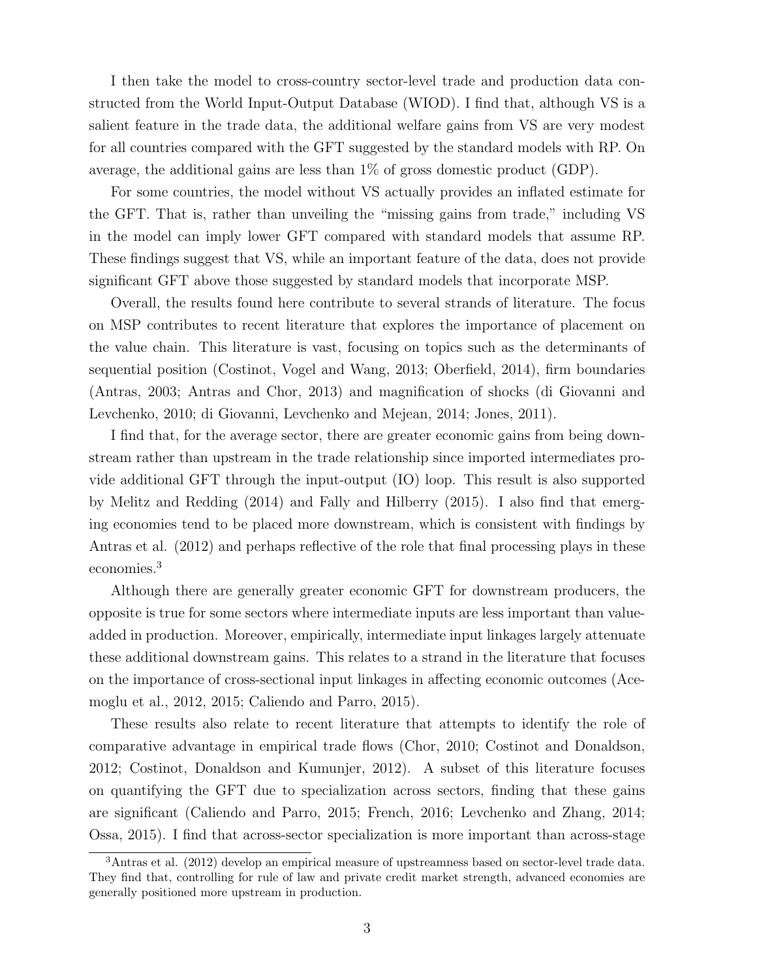I then take the model to cross-country sector-level trade and production data constructed from the World Input-Output Database (WIOD). I find that, although VS is a salient feature in the trade data, the additional welfare gains from VS are very modest for all countries compared with the GFT suggested by the standard models with RP. On average, the additional gains are less than 1% of gross domestic product (GDP).

For some countries, the model without VS actually provides an inflated estimate for the GFT. That is, rather than unveiling the "missing gains from trade," including VS in the model can imply lower GFT compared with standard models that assume RP. These findings suggest that VS, while an important feature of the data, does not provide significant GFT above those suggested by standard models that incorporate MSP.

Overall, the results found here contribute to several strands of literature. The focus on MSP contributes to recent literature that explores the importance of placement on the value chain. This literature is vast, focusing on topics such as the determinants of sequential position (Costinot, Vogel and Wang, 2013; Oberfield, 2014), firm boundaries (Antras, 2003; Antras and Chor, 2013) and magnification of shocks (di Giovanni and Levchenko, 2010; di Giovanni, Levchenko and Mejean, 2014; Jones, 2011).

I find that, for the average sector, there are greater economic gains from being downstream rather than upstream in the trade relationship since imported intermediates provide additional GFT through the input-output (IO) loop. This result is also supported by Melitz and Redding (2014) and Fally and Hilberry (2015). I also find that emerging economies tend to be placed more downstream, which is consistent with findings by Antras et al. (2012) and perhaps reflective of the role that final processing plays in these economies.<sup>3</sup>

Although there are generally greater economic GFT for downstream producers, the opposite is true for some sectors where intermediate inputs are less important than valueadded in production. Moreover, empirically, intermediate input linkages largely attenuate these additional downstream gains. This relates to a strand in the literature that focuses on the importance of cross-sectional input linkages in affecting economic outcomes (Acemoglu et al., 2012, 2015; Caliendo and Parro, 2015).

These results also relate to recent literature that attempts to identify the role of comparative advantage in empirical trade flows (Chor, 2010; Costinot and Donaldson, 2012; Costinot, Donaldson and Kumunjer, 2012). A subset of this literature focuses on quantifying the GFT due to specialization across sectors, finding that these gains are significant (Caliendo and Parro, 2015; French, 2016; Levchenko and Zhang, 2014; Ossa, 2015). I find that across-sector specialization is more important than across-stage

<sup>3</sup>Antras et al. (2012) develop an empirical measure of upstreamness based on sector-level trade data. They find that, controlling for rule of law and private credit market strength, advanced economies are generally positioned more upstream in production.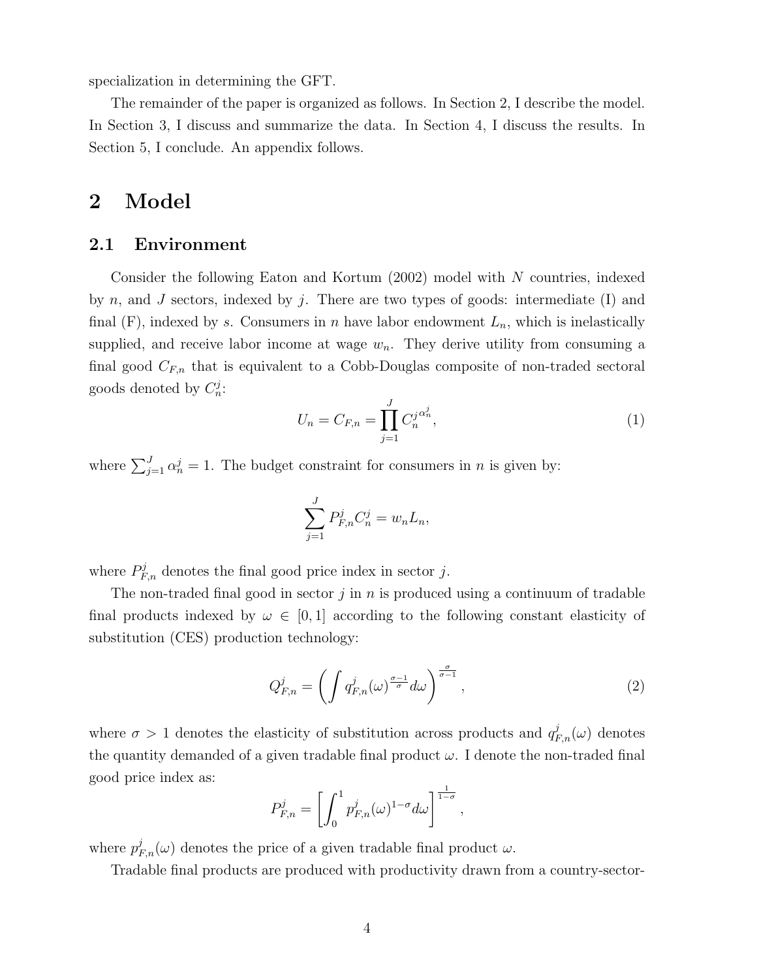specialization in determining the GFT.

The remainder of the paper is organized as follows. In Section 2, I describe the model. In Section 3, I discuss and summarize the data. In Section 4, I discuss the results. In Section 5, I conclude. An appendix follows.

# 2 Model

#### 2.1 Environment

Consider the following Eaton and Kortum (2002) model with N countries, indexed by n, and J sectors, indexed by j. There are two types of goods: intermediate  $(I)$  and final  $(F)$ , indexed by s. Consumers in n have labor endowment  $L_n$ , which is inelastically supplied, and receive labor income at wage  $w_n$ . They derive utility from consuming a final good  $C_{F,n}$  that is equivalent to a Cobb-Douglas composite of non-traded sectoral goods denoted by  $C_n^j$ :

$$
U_n = C_{F,n} = \prod_{j=1}^{J} C_n^{j} \alpha_n^{j},
$$
\n(1)

where  $\sum_{j=1}^{J} \alpha_n^j = 1$ . The budget constraint for consumers in *n* is given by:

$$
\sum_{j=1}^{J} P_{F,n}^j C_n^j = w_n L_n,
$$

where  $P_{F,n}^{j}$  denotes the final good price index in sector j.

The non-traded final good in sector  $j$  in n is produced using a continuum of tradable final products indexed by  $\omega \in [0, 1]$  according to the following constant elasticity of substitution (CES) production technology:

$$
Q_{F,n}^{j} = \left(\int q_{F,n}^{j}(\omega)^{\frac{\sigma-1}{\sigma}} d\omega\right)^{\frac{\sigma}{\sigma-1}},\tag{2}
$$

where  $\sigma > 1$  denotes the elasticity of substitution across products and  $q_{F,n}^j(\omega)$  denotes the quantity demanded of a given tradable final product  $\omega$ . I denote the non-traded final good price index as:

$$
P_{F,n}^j = \left[ \int_0^1 p_{F,n}^j(\omega)^{1-\sigma} d\omega \right]^{\frac{1}{1-\sigma}},
$$

where  $p_{F,n}^j(\omega)$  denotes the price of a given tradable final product  $\omega$ .

Tradable final products are produced with productivity drawn from a country-sector-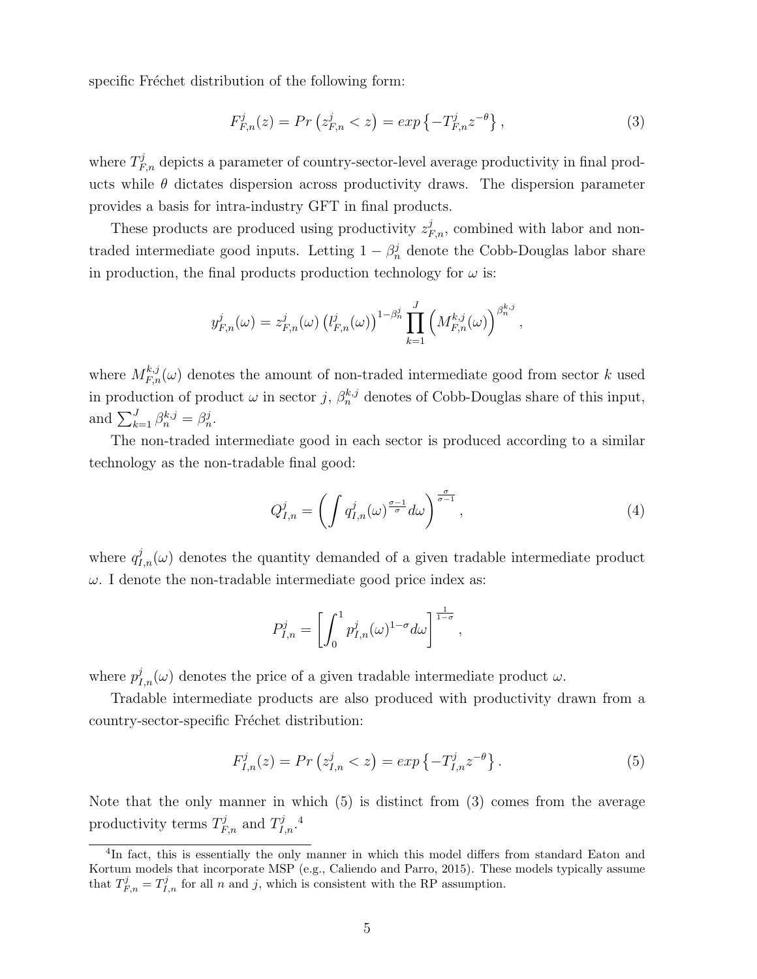specific Fréchet distribution of the following form:

$$
F_{F,n}^{j}(z) = Pr\left(z_{F,n}^{j} < z\right) = exp\left\{-T_{F,n}^{j}z^{-\theta}\right\},\tag{3}
$$

where  $T_{F,n}^{j}$  depicts a parameter of country-sector-level average productivity in final products while  $\theta$  dictates dispersion across productivity draws. The dispersion parameter provides a basis for intra-industry GFT in final products.

These products are produced using productivity  $z_{F,n}^j$ , combined with labor and nontraded intermediate good inputs. Letting  $1 - \beta_n^j$  denote the Cobb-Douglas labor share in production, the final products production technology for  $\omega$  is:

$$
y_{F,n}^j(\omega) = z_{F,n}^j(\omega) \left(l_{F,n}^j(\omega)\right)^{1-\beta_n^j} \prod_{k=1}^J \left(M_{F,n}^{k,j}(\omega)\right)^{\beta_n^{k,j}},
$$

where  $M_{F,n}^{k,j}(\omega)$  denotes the amount of non-traded intermediate good from sector k used in production of product  $\omega$  in sector j,  $\beta_n^{k,j}$  denotes of Cobb-Douglas share of this input, and  $\sum_{k=1}^{J} \beta_n^{k,j} = \beta_n^j$ .

The non-traded intermediate good in each sector is produced according to a similar technology as the non-tradable final good:

$$
Q_{I,n}^{j} = \left(\int q_{I,n}^{j}(\omega)^{\frac{\sigma-1}{\sigma}} d\omega\right)^{\frac{\sigma}{\sigma-1}},\tag{4}
$$

where  $q_{I,n}^{j}(\omega)$  denotes the quantity demanded of a given tradable intermediate product  $\omega$ . I denote the non-tradable intermediate good price index as:

$$
P_{I,n}^j = \left[ \int_0^1 p_{I,n}^j(\omega)^{1-\sigma} d\omega \right]^{\frac{1}{1-\sigma}},
$$

where  $p_{I,n}^j(\omega)$  denotes the price of a given tradable intermediate product  $\omega$ .

Tradable intermediate products are also produced with productivity drawn from a country-sector-specific Fréchet distribution:

$$
F_{I,n}^{j}(z) = Pr\left(z_{I,n}^{j} < z\right) = exp\left\{-T_{I,n}^{j}z^{-\theta}\right\}.\tag{5}
$$

Note that the only manner in which (5) is distinct from (3) comes from the average productivity terms  $T_{F,n}^j$  and  $T_{I,n}^j$ .<sup>4</sup>

<sup>&</sup>lt;sup>4</sup>In fact, this is essentially the only manner in which this model differs from standard Eaton and Kortum models that incorporate MSP (e.g., Caliendo and Parro, 2015). These models typically assume that  $T_{F,n}^j = T_{I,n}^j$  for all n and j, which is consistent with the RP assumption.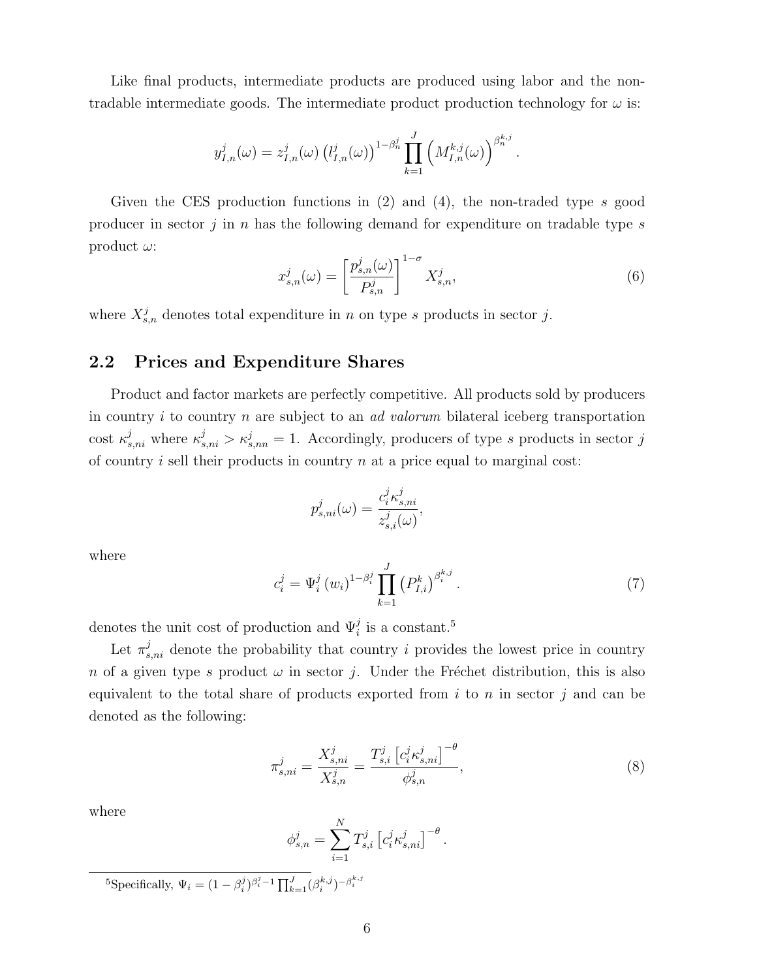Like final products, intermediate products are produced using labor and the nontradable intermediate goods. The intermediate product production technology for  $\omega$  is:

$$
y_{I,n}^j(\omega) = z_{I,n}^j(\omega) \left( l_{I,n}^j(\omega) \right)^{1-\beta_n^j} \prod_{k=1}^J \left( M_{I,n}^{k,j}(\omega) \right)^{\beta_n^{k,j}}.
$$

Given the CES production functions in (2) and (4), the non-traded type s good producer in sector j in n has the following demand for expenditure on tradable type  $s$ product  $\omega$ :

$$
x_{s,n}^j(\omega) = \left[\frac{p_{s,n}^j(\omega)}{P_{s,n}^j}\right]^{1-\sigma} X_{s,n}^j,\tag{6}
$$

where  $X_{s,n}^j$  denotes total expenditure in n on type s products in sector j.

#### 2.2 Prices and Expenditure Shares

Product and factor markets are perfectly competitive. All products sold by producers in country i to country n are subject to an ad valorum bilateral iceberg transportation cost  $\kappa_{s,ni}^j$  where  $\kappa_{s,ni}^j > \kappa_{s,nn}^j = 1$ . Accordingly, producers of type s products in sector j of country  $i$  sell their products in country  $n$  at a price equal to marginal cost:

$$
p_{s,ni}^j(\omega) = \frac{c_i^j \kappa_{s,ni}^j}{z_{s,i}^j(\omega)},
$$

where

$$
c_i^j = \Psi_i^j (w_i)^{1 - \beta_i^j} \prod_{k=1}^J (P_{I,i}^k)^{\beta_i^{k,j}}.
$$
 (7)

denotes the unit cost of production and  $\Psi_i^j$  is a constant.<sup>5</sup>

Let  $\pi_{s,ni}^j$  denote the probability that country i provides the lowest price in country n of a given type s product  $\omega$  in sector j. Under the Fréchet distribution, this is also equivalent to the total share of products exported from  $i$  to  $n$  in sector  $j$  and can be denoted as the following:

$$
\pi_{s,ni}^j = \frac{X_{s,ni}^j}{X_{s,n}^j} = \frac{T_{s,i}^j \left[c_i^j \kappa_{s,ni}^j\right]^{-\theta}}{\phi_{s,n}^j},\tag{8}
$$

where

$$
\phi_{s,n}^j = \sum_{i=1}^N T_{s,i}^j \left[ c_i^j \kappa_{s,ni}^j \right]^{-\theta}.
$$

<sup>5</sup>Specifically,  $\Psi_i = (1 - \beta_i^j)^{\beta_i^j - 1} \prod_{k=1}^J (\beta_i^{k,j})^{-\beta_i^{k,j}}$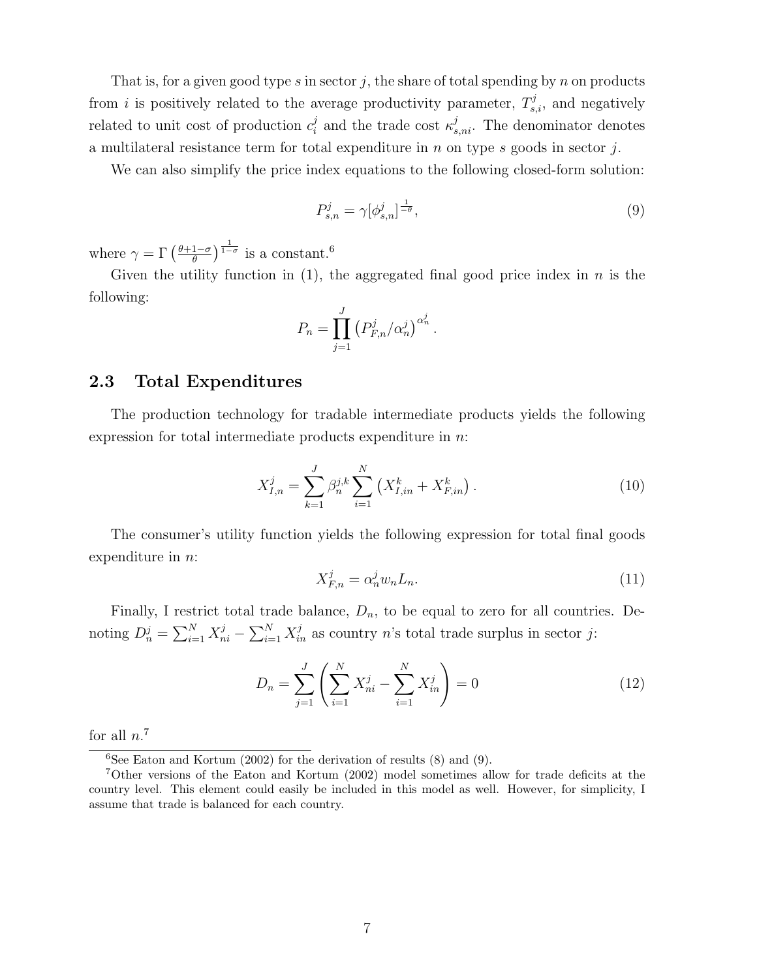That is, for a given good type s in sector j, the share of total spending by n on products from *i* is positively related to the average productivity parameter,  $T_{s,i}^j$ , and negatively related to unit cost of production  $c_i^j$  $s_i^j$  and the trade cost  $\kappa_{s,ni}^j$ . The denominator denotes a multilateral resistance term for total expenditure in  $n$  on type  $s$  goods in sector  $j$ .

We can also simplify the price index equations to the following closed-form solution:

$$
P_{s,n}^j = \gamma [\phi_{s,n}^j]^{\frac{1}{-\theta}},\tag{9}
$$

where  $\gamma = \Gamma\left(\frac{\theta + 1 - \sigma}{\theta}\right)$  $\frac{1-\sigma}{\theta}$   $\frac{1}{1-\sigma}$  is a constant.<sup>6</sup>

Given the utility function in  $(1)$ , the aggregated final good price index in n is the following:

$$
P_n = \prod_{j=1}^J \left( P_{F,n}^j / \alpha_n^j \right)^{\alpha_n^j}.
$$

#### 2.3 Total Expenditures

The production technology for tradable intermediate products yields the following expression for total intermediate products expenditure in  $n$ .

$$
X_{I,n}^j = \sum_{k=1}^J \beta_n^{j,k} \sum_{i=1}^N \left( X_{I,in}^k + X_{F,in}^k \right). \tag{10}
$$

The consumer's utility function yields the following expression for total final goods expenditure in n:

$$
X_{F,n}^j = \alpha_n^j w_n L_n. \tag{11}
$$

Finally, I restrict total trade balance,  $D_n$ , to be equal to zero for all countries. Denoting  $D_n^j = \sum_{i=1}^N X_{ni}^j - \sum_{i=1}^N X_{in}^j$  as country n's total trade surplus in sector j:

$$
D_n = \sum_{j=1}^{J} \left( \sum_{i=1}^{N} X_{ni}^j - \sum_{i=1}^{N} X_{in}^j \right) = 0
$$
 (12)

for all  $n<sup>7</sup>$ 

 ${}^{6}$ See Eaton and Kortum (2002) for the derivation of results (8) and (9).

<sup>7</sup>Other versions of the Eaton and Kortum (2002) model sometimes allow for trade deficits at the country level. This element could easily be included in this model as well. However, for simplicity, I assume that trade is balanced for each country.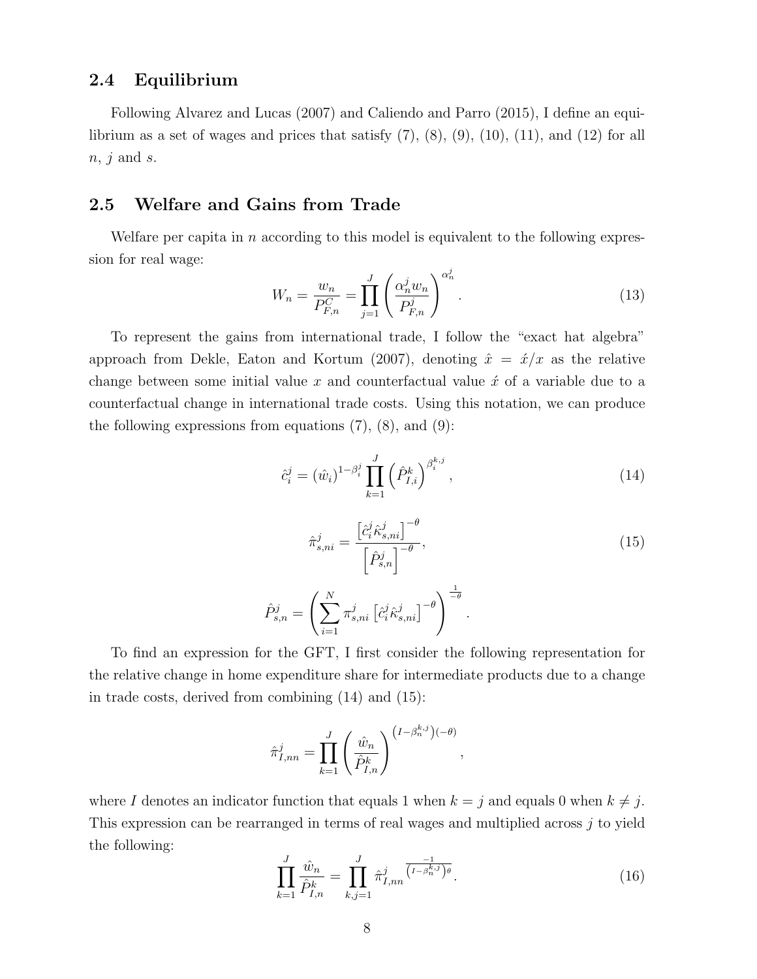#### 2.4 Equilibrium

Following Alvarez and Lucas (2007) and Caliendo and Parro (2015), I define an equilibrium as a set of wages and prices that satisfy  $(7)$ ,  $(8)$ ,  $(9)$ ,  $(10)$ ,  $(11)$ , and  $(12)$  for all  $n, j$  and s.

#### 2.5 Welfare and Gains from Trade

Welfare per capita in n according to this model is equivalent to the following expression for real wage:

$$
W_n = \frac{w_n}{P_{F,n}^C} = \prod_{j=1}^J \left(\frac{\alpha_n^j w_n}{P_{F,n}^j}\right)^{\alpha_n^j}.
$$
 (13)

To represent the gains from international trade, I follow the "exact hat algebra" approach from Dekle, Eaton and Kortum (2007), denoting  $\hat{x} = \hat{x}/x$  as the relative change between some initial value  $x$  and counterfactual value  $\acute{x}$  of a variable due to a counterfactual change in international trade costs. Using this notation, we can produce the following expressions from equations  $(7)$ ,  $(8)$ , and  $(9)$ :

$$
\hat{c}_i^j = (\hat{w}_i)^{1-\beta_i^j} \prod_{k=1}^J \left(\hat{P}_{I,i}^k\right)^{\beta_i^{k,j}},\tag{14}
$$

$$
\hat{\pi}_{s,ni}^j = \frac{\left[\hat{c}_i^j \hat{\kappa}_{s,ni}^j\right]^{-\theta}}{\left[\hat{P}_{s,n}^j\right]^{-\theta}},
$$
\n
$$
\hat{P}_{s,n}^j = \left(\sum_{i=1}^N \pi_{s,ni}^j \left[\hat{c}_i^j \hat{\kappa}_{s,ni}^j\right]^{-\theta}\right)^{\frac{1}{-\theta}}.
$$
\n(15)

To find an expression for the GFT, I first consider the following representation for the relative change in home expenditure share for intermediate products due to a change in trade costs, derived from combining (14) and (15):

$$
\hat{\pi}_{I,nn}^j = \prod_{k=1}^J \left( \frac{\hat{w}_n}{\hat{P}_{I,n}^k} \right)^{\left(I - \beta_n^{k,j}\right)(-\theta)},
$$

where I denotes an indicator function that equals 1 when  $k = j$  and equals 0 when  $k \neq j$ . This expression can be rearranged in terms of real wages and multiplied across j to yield the following:

$$
\prod_{k=1}^{J} \frac{\hat{w}_n}{\hat{P}_{I,n}^k} = \prod_{k,j=1}^{J} \hat{\pi}_{I,nn}^j \overline{\binom{I-\beta_n^{k,j}}{\beta_n^{k,j}}^{\theta}}.
$$
\n(16)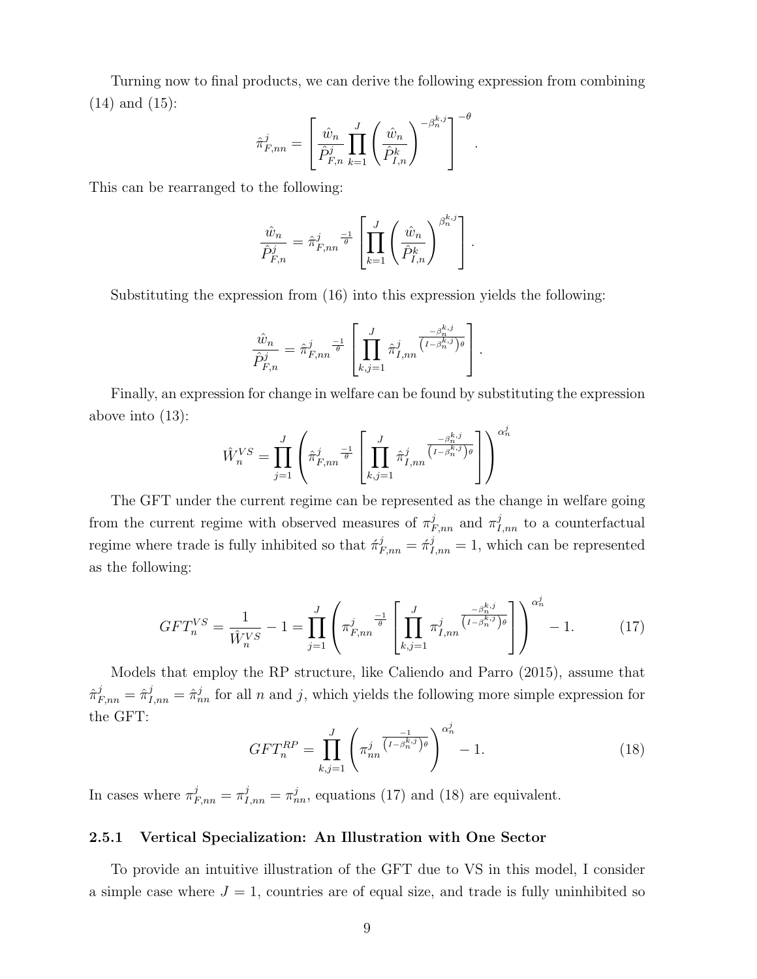Turning now to final products, we can derive the following expression from combining (14) and (15):

$$
\hat{\pi}_{F,nn}^{j} = \left[ \frac{\hat{w}_n}{\hat{P}_{F,n}^{j}} \prod_{k=1}^{J} \left( \frac{\hat{w}_n}{\hat{P}_{I,n}^{k}} \right)^{-\beta_n^{k,j}} \right]^{-\theta}.
$$

This can be rearranged to the following:

$$
\frac{\hat{w}_n}{\hat{P}_{F,n}^j} = \hat{\pi}_{F,nn}^j \stackrel{-1}{\overline{\theta}} \left[ \prod_{k=1}^J \left( \frac{\hat{w}_n}{\hat{P}_{I,n}^k} \right)^{\beta_n^{k,j}} \right].
$$

Substituting the expression from (16) into this expression yields the following:

$$
\frac{\hat{w}_n}{\hat{P}_{F,n}^j} = \hat{\pi}_{F,nn}^j \stackrel{\text{--}1}{\theta} \left[ \prod_{k,j=1}^J \hat{\pi}_{I,nn}^j \overline{\left( I - \beta_n^{k,j} \right)_{\theta}} \right].
$$

Finally, an expression for change in welfare can be found by substituting the expression above into (13):

$$
\hat{W}_n^{VS} = \prod_{j=1}^J \left( \hat{\pi}_{F,nn}^j \frac{-1}{\theta} \left[ \prod_{k,j=1}^J \hat{\pi}_{I,nn}^j \overline{\left( I - \beta_n^{k,j} \right)_{\theta}^{\theta}} \right] \right)^{\alpha_n^j}
$$

The GFT under the current regime can be represented as the change in welfare going from the current regime with observed measures of  $\pi^j_{F,nn}$  and  $\pi^j_{I,nn}$  to a counterfactual regime where trade is fully inhibited so that  $\hat{\pi}_{F,nn}^j = \hat{\pi}_{I,nn}^j = 1$ , which can be represented as the following:

$$
GFT_n^{VS} = \frac{1}{\hat{W}_n^{VS}} - 1 = \prod_{j=1}^J \left( \pi_{F,nn}^j \right)^{-1} \left[ \prod_{k,j=1}^J \pi_{I,nn}^j \overline{\binom{I-\beta_n^{k,j}}{I-\beta_n^{k,j}} \theta} \right] \right)^{\alpha_n^j} - 1. \tag{17}
$$

Models that employ the RP structure, like Caliendo and Parro (2015), assume that  $\hat{\pi}_{F,nn}^j = \hat{\pi}_{I,nn}^j = \hat{\pi}_{nn}^j$  for all n and j, which yields the following more simple expression for the GFT:

$$
GFT_n^{RP} = \prod_{k,j=1}^J \left(\pi_{nn}^j \overline{\binom{I-\beta_n^{k,j}}{}}^{\alpha_n^j} - 1.\right) \tag{18}
$$

In cases where  $\pi_{F,nn}^j = \pi_{I,nn}^j = \pi_{nn}^j$ , equations (17) and (18) are equivalent.

#### 2.5.1 Vertical Specialization: An Illustration with One Sector

To provide an intuitive illustration of the GFT due to VS in this model, I consider a simple case where  $J = 1$ , countries are of equal size, and trade is fully uninhibited so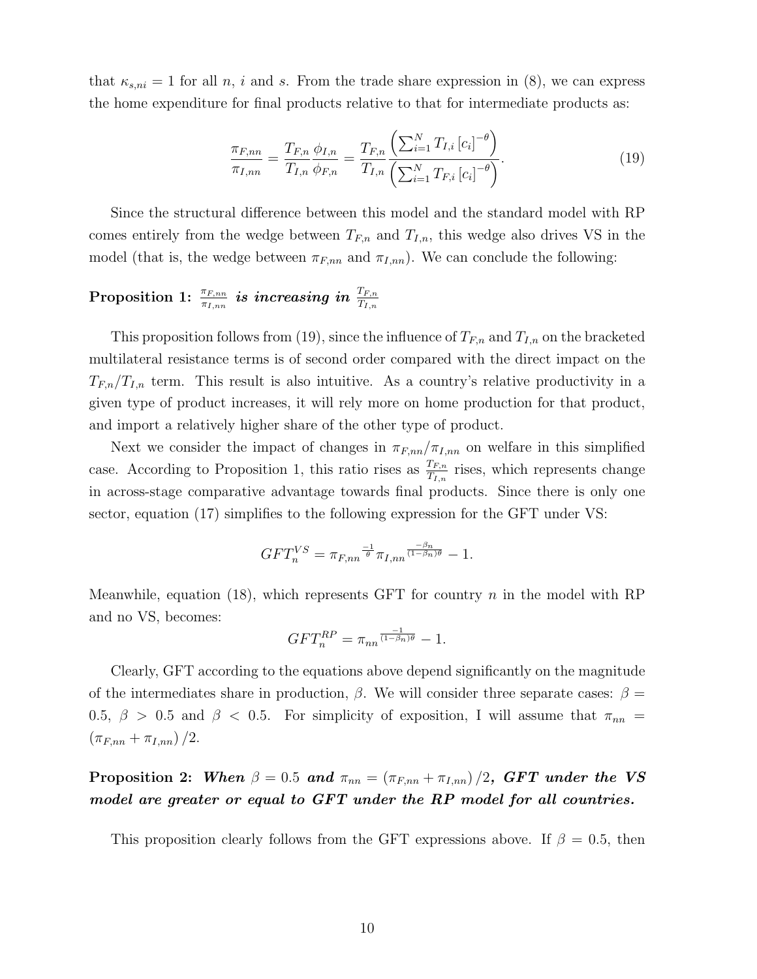that  $\kappa_{s,ni} = 1$  for all n, i and s. From the trade share expression in (8), we can express the home expenditure for final products relative to that for intermediate products as:

$$
\frac{\pi_{F,nn}}{\pi_{I,nn}} = \frac{T_{F,n}}{T_{I,n}} \frac{\phi_{I,n}}{\phi_{F,n}} = \frac{T_{F,n}}{T_{I,n}} \frac{\left(\sum_{i=1}^{N} T_{I,i} [c_i]^{-\theta}\right)}{\left(\sum_{i=1}^{N} T_{F,i} [c_i]^{-\theta}\right)}.
$$
\n(19)

Since the structural difference between this model and the standard model with RP comes entirely from the wedge between  $T_{F,n}$  and  $T_{I,n}$ , this wedge also drives VS in the model (that is, the wedge between  $\pi_{F,nn}$  and  $\pi_{I,nn}$ ). We can conclude the following:

# $\text{Proposition 1:} \begin{array}{ll} \frac{\pi_{F,nn}}{\pi_{I,nn}} \textit{ is increasing in } \frac{T_{F,n}}{T_{I,n}} \end{array}$

This proposition follows from (19), since the influence of  $T_{F,n}$  and  $T_{I,n}$  on the bracketed multilateral resistance terms is of second order compared with the direct impact on the  $T_{F,n}/T_{I,n}$  term. This result is also intuitive. As a country's relative productivity in a given type of product increases, it will rely more on home production for that product, and import a relatively higher share of the other type of product.

Next we consider the impact of changes in  $\pi_{F,nn}/\pi_{I,nn}$  on welfare in this simplified case. According to Proposition 1, this ratio rises as  $\frac{T_{F,n}}{T_{I,n}}$  rises, which represents change in across-stage comparative advantage towards final products. Since there is only one sector, equation (17) simplifies to the following expression for the GFT under VS:

$$
GFT_n^{VS} = \pi_{F,nn}^{\frac{-1}{\theta}} \pi_{I,nn}^{\frac{-\beta_n}{(1-\beta_n)\theta}} - 1.
$$

Meanwhile, equation (18), which represents GFT for country  $n$  in the model with RP and no VS, becomes:

$$
GFT_n^{RP} = \pi_{nn}^{\frac{-1}{(1-\beta_n)\theta}} - 1.
$$

Clearly, GFT according to the equations above depend significantly on the magnitude of the intermediates share in production,  $\beta$ . We will consider three separate cases:  $\beta =$ 0.5,  $\beta$  > 0.5 and  $\beta$  < 0.5. For simplicity of exposition, I will assume that  $\pi_{nn}$  =  $(\pi_{F,nn} + \pi_{I,nn})/2$ .

Proposition 2: When  $\beta = 0.5$  and  $\pi_{nn} = (\pi_{F,nn} + \pi_{I,nn})/2$ , GFT under the VS model are greater or equal to GFT under the RP model for all countries.

This proposition clearly follows from the GFT expressions above. If  $\beta = 0.5$ , then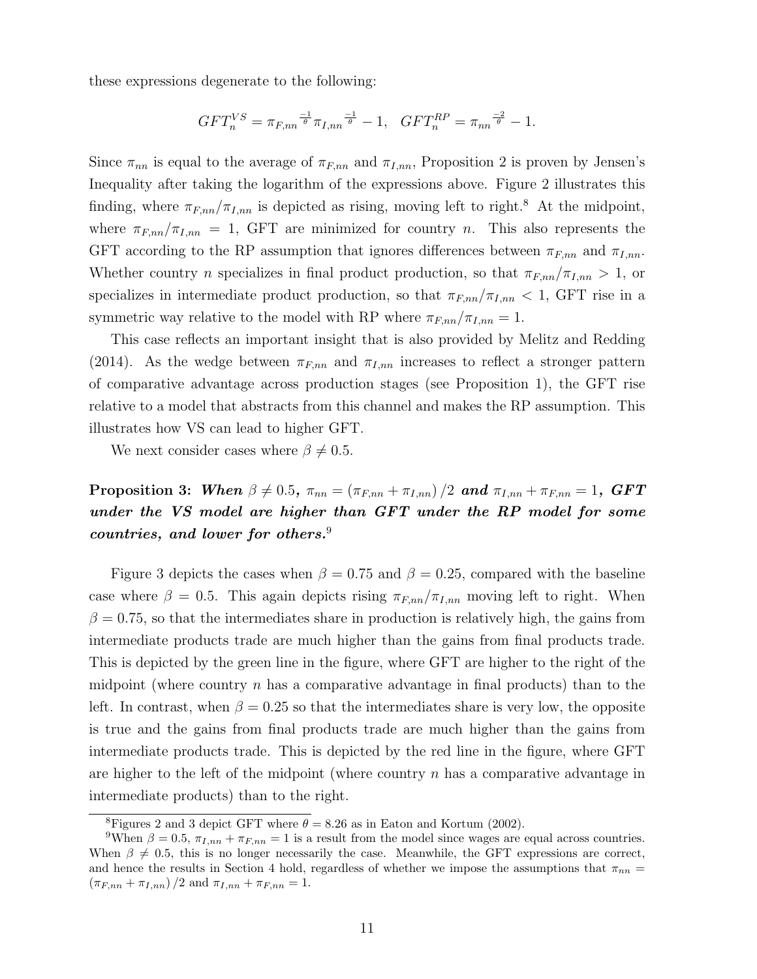these expressions degenerate to the following:

$$
GFT_n^{VS} = \pi_{F,nn}^{\frac{-1}{\theta}} \pi_{I,nn}^{\frac{-1}{\theta}} - 1, \quad GFT_n^{RP} = \pi_{nn}^{\frac{-2}{\theta}} - 1.
$$

Since  $\pi_{nn}$  is equal to the average of  $\pi_{F,nn}$  and  $\pi_{I,nn}$ , Proposition 2 is proven by Jensen's Inequality after taking the logarithm of the expressions above. Figure 2 illustrates this finding, where  $\pi_{F,nn}/\pi_{I,nn}$  is depicted as rising, moving left to right.<sup>8</sup> At the midpoint, where  $\pi_{F,nn}/\pi_{I,nn} = 1$ , GFT are minimized for country *n*. This also represents the GFT according to the RP assumption that ignores differences between  $\pi_{F,nn}$  and  $\pi_{I,nn}$ . Whether country n specializes in final product production, so that  $\pi_{F,nn}/\pi_{I,nn} > 1$ , or specializes in intermediate product production, so that  $\pi_{F,nn}/\pi_{I,nn}$  < 1, GFT rise in a symmetric way relative to the model with RP where  $\pi_{F,nn}/\pi_{I,nn} = 1$ .

This case reflects an important insight that is also provided by Melitz and Redding (2014). As the wedge between  $\pi_{F,nn}$  and  $\pi_{I,nn}$  increases to reflect a stronger pattern of comparative advantage across production stages (see Proposition 1), the GFT rise relative to a model that abstracts from this channel and makes the RP assumption. This illustrates how VS can lead to higher GFT.

We next consider cases where  $\beta \neq 0.5$ .

**Proposition 3:** When  $\beta \neq 0.5$ ,  $\pi_{nn} = (\pi_{F,nn} + \pi_{I,nn})/2$  and  $\pi_{I,nn} + \pi_{F,nn} = 1$ , GFT under the VS model are higher than GFT under the RP model for some countries, and lower for others.<sup>9</sup>

Figure 3 depicts the cases when  $\beta = 0.75$  and  $\beta = 0.25$ , compared with the baseline case where  $\beta = 0.5$ . This again depicts rising  $\pi_{F,nn}/\pi_{I,nn}$  moving left to right. When  $\beta = 0.75$ , so that the intermediates share in production is relatively high, the gains from intermediate products trade are much higher than the gains from final products trade. This is depicted by the green line in the figure, where GFT are higher to the right of the midpoint (where country  $n$  has a comparative advantage in final products) than to the left. In contrast, when  $\beta = 0.25$  so that the intermediates share is very low, the opposite is true and the gains from final products trade are much higher than the gains from intermediate products trade. This is depicted by the red line in the figure, where GFT are higher to the left of the midpoint (where country  $n$  has a comparative advantage in intermediate products) than to the right.

<sup>&</sup>lt;sup>8</sup>Figures 2 and 3 depict GFT where  $\theta = 8.26$  as in Eaton and Kortum (2002).

<sup>&</sup>lt;sup>9</sup>When  $\beta = 0.5$ ,  $\pi_{I,nn} + \pi_{F,nn} = 1$  is a result from the model since wages are equal across countries. When  $\beta \neq 0.5$ , this is no longer necessarily the case. Meanwhile, the GFT expressions are correct, and hence the results in Section 4 hold, regardless of whether we impose the assumptions that  $\pi_{nn}$  $(\pi_{F,nn} + \pi_{I,nn})/2$  and  $\pi_{I,nn} + \pi_{F,nn} = 1$ .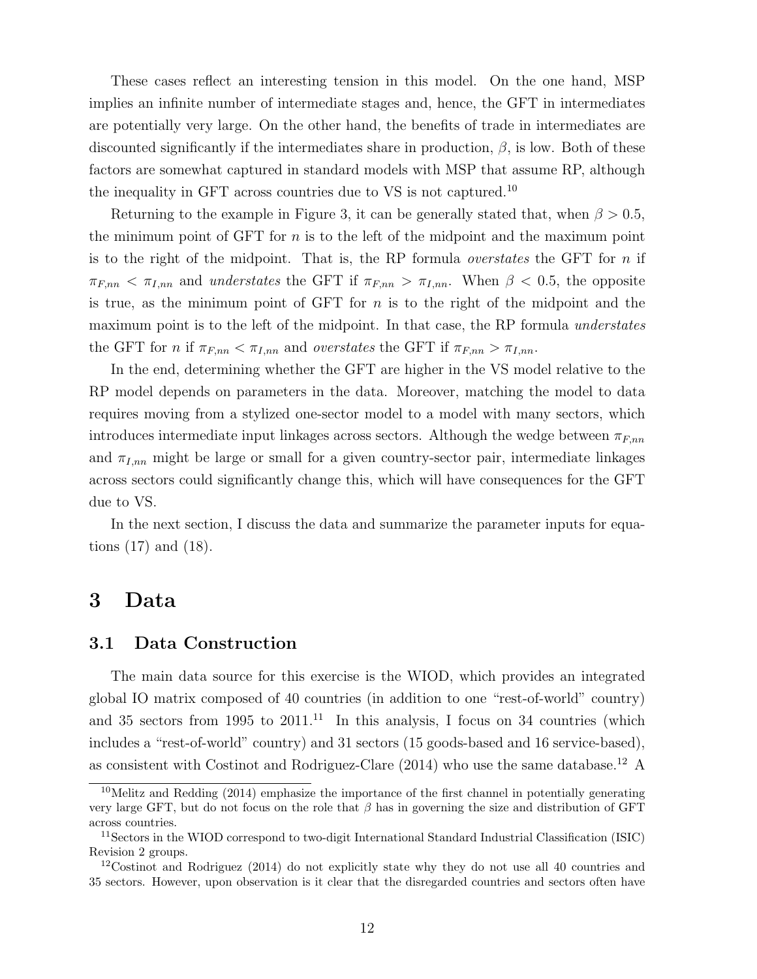These cases reflect an interesting tension in this model. On the one hand, MSP implies an infinite number of intermediate stages and, hence, the GFT in intermediates are potentially very large. On the other hand, the benefits of trade in intermediates are discounted significantly if the intermediates share in production,  $\beta$ , is low. Both of these factors are somewhat captured in standard models with MSP that assume RP, although the inequality in GFT across countries due to VS is not captured.<sup>10</sup>

Returning to the example in Figure 3, it can be generally stated that, when  $\beta > 0.5$ , the minimum point of GFT for  $n$  is to the left of the midpoint and the maximum point is to the right of the midpoint. That is, the RP formula *overstates* the GFT for  $n$  if  $\pi_{F,nn} < \pi_{I,nn}$  and understates the GFT if  $\pi_{F,nn} > \pi_{I,nn}$ . When  $\beta < 0.5$ , the opposite is true, as the minimum point of GFT for  $n$  is to the right of the midpoint and the maximum point is to the left of the midpoint. In that case, the RP formula *understates* the GFT for n if  $\pi_{F,nn} < \pi_{I,nn}$  and *overstates* the GFT if  $\pi_{F,nn} > \pi_{I,nn}$ .

In the end, determining whether the GFT are higher in the VS model relative to the RP model depends on parameters in the data. Moreover, matching the model to data requires moving from a stylized one-sector model to a model with many sectors, which introduces intermediate input linkages across sectors. Although the wedge between  $\pi_{F,nn}$ and  $\pi_{I,nn}$  might be large or small for a given country-sector pair, intermediate linkages across sectors could significantly change this, which will have consequences for the GFT due to VS.

In the next section, I discuss the data and summarize the parameter inputs for equations (17) and (18).

## 3 Data

#### 3.1 Data Construction

The main data source for this exercise is the WIOD, which provides an integrated global IO matrix composed of 40 countries (in addition to one "rest-of-world" country) and 35 sectors from 1995 to  $2011$ .<sup>11</sup> In this analysis, I focus on 34 countries (which includes a "rest-of-world" country) and 31 sectors (15 goods-based and 16 service-based), as consistent with Costinot and Rodriguez-Clare (2014) who use the same database.<sup>12</sup> A

<sup>&</sup>lt;sup>10</sup>Melitz and Redding (2014) emphasize the importance of the first channel in potentially generating very large GFT, but do not focus on the role that  $\beta$  has in governing the size and distribution of GFT across countries.

<sup>11</sup>Sectors in the WIOD correspond to two-digit International Standard Industrial Classification (ISIC) Revision 2 groups.

<sup>&</sup>lt;sup>12</sup>Costinot and Rodriguez (2014) do not explicitly state why they do not use all 40 countries and 35 sectors. However, upon observation is it clear that the disregarded countries and sectors often have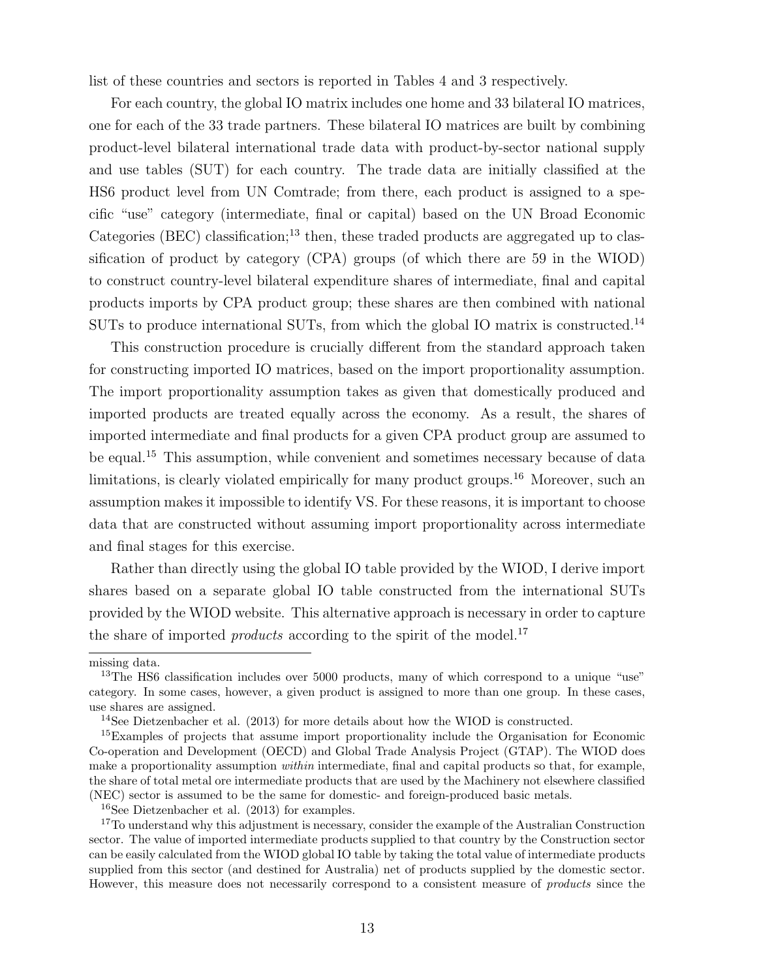list of these countries and sectors is reported in Tables 4 and 3 respectively.

For each country, the global IO matrix includes one home and 33 bilateral IO matrices, one for each of the 33 trade partners. These bilateral IO matrices are built by combining product-level bilateral international trade data with product-by-sector national supply and use tables (SUT) for each country. The trade data are initially classified at the HS6 product level from UN Comtrade; from there, each product is assigned to a specific "use" category (intermediate, final or capital) based on the UN Broad Economic Categories (BEC) classification;<sup>13</sup> then, these traded products are aggregated up to classification of product by category (CPA) groups (of which there are 59 in the WIOD) to construct country-level bilateral expenditure shares of intermediate, final and capital products imports by CPA product group; these shares are then combined with national SUTs to produce international SUTs, from which the global IO matrix is constructed.<sup>14</sup>

This construction procedure is crucially different from the standard approach taken for constructing imported IO matrices, based on the import proportionality assumption. The import proportionality assumption takes as given that domestically produced and imported products are treated equally across the economy. As a result, the shares of imported intermediate and final products for a given CPA product group are assumed to be equal.<sup>15</sup> This assumption, while convenient and sometimes necessary because of data limitations, is clearly violated empirically for many product groups.<sup>16</sup> Moreover, such an assumption makes it impossible to identify VS. For these reasons, it is important to choose data that are constructed without assuming import proportionality across intermediate and final stages for this exercise.

Rather than directly using the global IO table provided by the WIOD, I derive import shares based on a separate global IO table constructed from the international SUTs provided by the WIOD website. This alternative approach is necessary in order to capture the share of imported *products* according to the spirit of the model.<sup>17</sup>

missing data.

<sup>&</sup>lt;sup>13</sup>The HS6 classification includes over 5000 products, many of which correspond to a unique "use" category. In some cases, however, a given product is assigned to more than one group. In these cases, use shares are assigned.

<sup>14</sup>See Dietzenbacher et al. (2013) for more details about how the WIOD is constructed.

<sup>&</sup>lt;sup>15</sup>Examples of projects that assume import proportionality include the Organisation for Economic Co-operation and Development (OECD) and Global Trade Analysis Project (GTAP). The WIOD does make a proportionality assumption *within* intermediate, final and capital products so that, for example, the share of total metal ore intermediate products that are used by the Machinery not elsewhere classified (NEC) sector is assumed to be the same for domestic- and foreign-produced basic metals.

<sup>16</sup>See Dietzenbacher et al. (2013) for examples.

<sup>&</sup>lt;sup>17</sup>To understand why this adjustment is necessary, consider the example of the Australian Construction sector. The value of imported intermediate products supplied to that country by the Construction sector can be easily calculated from the WIOD global IO table by taking the total value of intermediate products supplied from this sector (and destined for Australia) net of products supplied by the domestic sector. However, this measure does not necessarily correspond to a consistent measure of products since the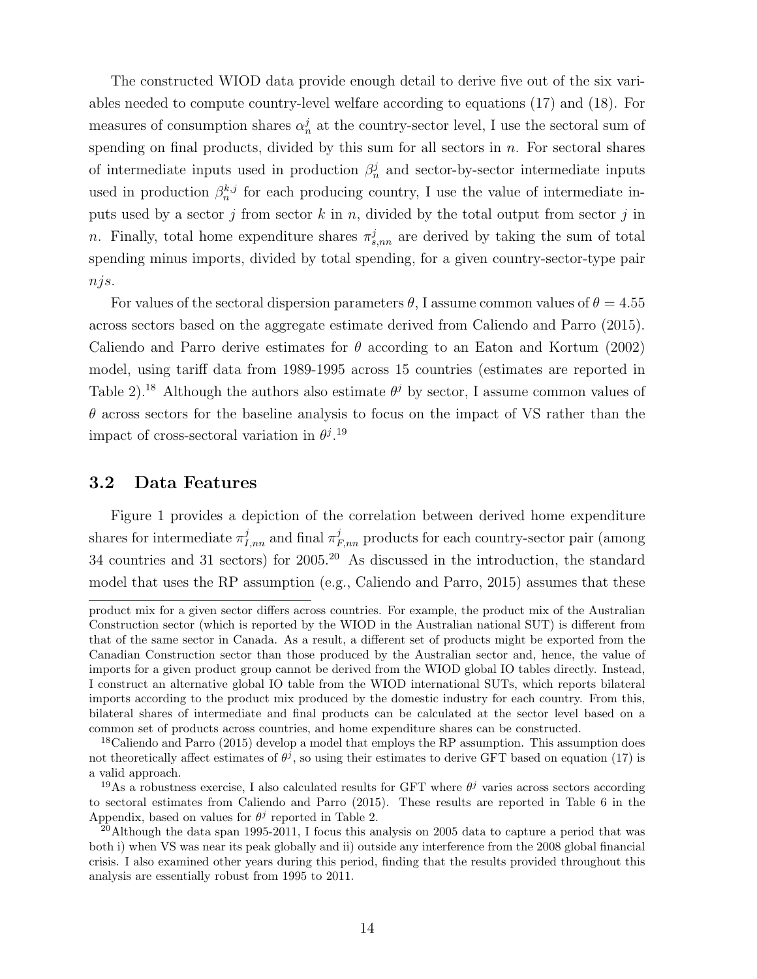The constructed WIOD data provide enough detail to derive five out of the six variables needed to compute country-level welfare according to equations (17) and (18). For measures of consumption shares  $\alpha_n^j$  at the country-sector level, I use the sectoral sum of spending on final products, divided by this sum for all sectors in  $n$ . For sectoral shares of intermediate inputs used in production  $\beta_n^j$  and sector-by-sector intermediate inputs used in production  $\beta_n^{k,j}$  for each producing country, I use the value of intermediate inputs used by a sector j from sector k in n, divided by the total output from sector j in n. Finally, total home expenditure shares  $\pi_{s,nn}^j$  are derived by taking the sum of total spending minus imports, divided by total spending, for a given country-sector-type pair njs.

For values of the sectoral dispersion parameters  $\theta$ , I assume common values of  $\theta = 4.55$ across sectors based on the aggregate estimate derived from Caliendo and Parro (2015). Caliendo and Parro derive estimates for  $\theta$  according to an Eaton and Kortum (2002) model, using tariff data from 1989-1995 across 15 countries (estimates are reported in Table 2).<sup>18</sup> Although the authors also estimate  $\theta^j$  by sector, I assume common values of  $\theta$  across sectors for the baseline analysis to focus on the impact of VS rather than the impact of cross-sectoral variation in  $\theta^{j}$ .<sup>19</sup>

#### 3.2 Data Features

Figure 1 provides a depiction of the correlation between derived home expenditure shares for intermediate  $\pi^j_{I,nn}$  and final  $\pi^j_{F,nn}$  products for each country-sector pair (among 34 countries and 31 sectors) for 2005.<sup>20</sup> As discussed in the introduction, the standard model that uses the RP assumption (e.g., Caliendo and Parro, 2015) assumes that these

product mix for a given sector differs across countries. For example, the product mix of the Australian Construction sector (which is reported by the WIOD in the Australian national SUT) is different from that of the same sector in Canada. As a result, a different set of products might be exported from the Canadian Construction sector than those produced by the Australian sector and, hence, the value of imports for a given product group cannot be derived from the WIOD global IO tables directly. Instead, I construct an alternative global IO table from the WIOD international SUTs, which reports bilateral imports according to the product mix produced by the domestic industry for each country. From this, bilateral shares of intermediate and final products can be calculated at the sector level based on a common set of products across countries, and home expenditure shares can be constructed.

<sup>&</sup>lt;sup>18</sup>Caliendo and Parro (2015) develop a model that employs the RP assumption. This assumption does not theoretically affect estimates of  $\theta^j$ , so using their estimates to derive GFT based on equation (17) is a valid approach.

<sup>&</sup>lt;sup>19</sup>As a robustness exercise, I also calculated results for GFT where  $\theta^j$  varies across sectors according to sectoral estimates from Caliendo and Parro (2015). These results are reported in Table 6 in the Appendix, based on values for  $\theta^j$  reported in Table 2.

<sup>&</sup>lt;sup>20</sup>Although the data span 1995-2011, I focus this analysis on 2005 data to capture a period that was both i) when VS was near its peak globally and ii) outside any interference from the 2008 global financial crisis. I also examined other years during this period, finding that the results provided throughout this analysis are essentially robust from 1995 to 2011.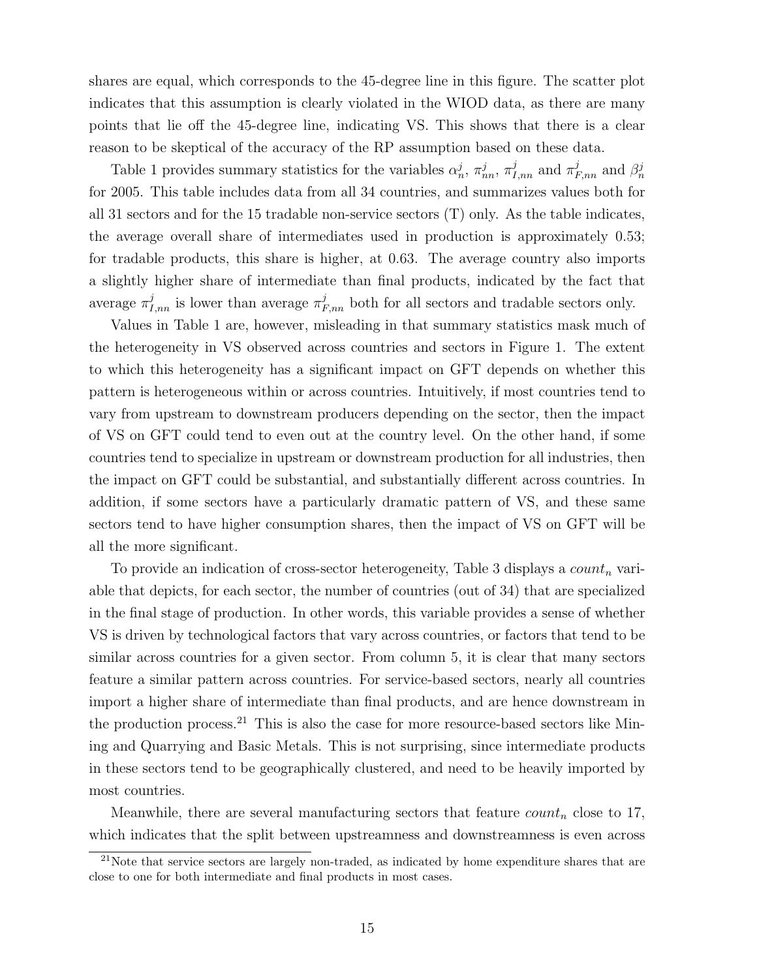shares are equal, which corresponds to the 45-degree line in this figure. The scatter plot indicates that this assumption is clearly violated in the WIOD data, as there are many points that lie off the 45-degree line, indicating VS. This shows that there is a clear reason to be skeptical of the accuracy of the RP assumption based on these data.

Table 1 provides summary statistics for the variables  $\alpha_n^j$ ,  $\pi_{nn}^j$ ,  $\pi_{1,nn}^j$  and  $\pi_{F,nn}^j$  and  $\beta_n^j$ for 2005. This table includes data from all 34 countries, and summarizes values both for all 31 sectors and for the 15 tradable non-service sectors (T) only. As the table indicates, the average overall share of intermediates used in production is approximately 0.53; for tradable products, this share is higher, at 0.63. The average country also imports a slightly higher share of intermediate than final products, indicated by the fact that average  $\pi_{I,nn}^{j}$  is lower than average  $\pi_{F,nn}^{j}$  both for all sectors and tradable sectors only.

Values in Table 1 are, however, misleading in that summary statistics mask much of the heterogeneity in VS observed across countries and sectors in Figure 1. The extent to which this heterogeneity has a significant impact on GFT depends on whether this pattern is heterogeneous within or across countries. Intuitively, if most countries tend to vary from upstream to downstream producers depending on the sector, then the impact of VS on GFT could tend to even out at the country level. On the other hand, if some countries tend to specialize in upstream or downstream production for all industries, then the impact on GFT could be substantial, and substantially different across countries. In addition, if some sectors have a particularly dramatic pattern of VS, and these same sectors tend to have higher consumption shares, then the impact of VS on GFT will be all the more significant.

To provide an indication of cross-sector heterogeneity, Table 3 displays a  $count_n$  variable that depicts, for each sector, the number of countries (out of 34) that are specialized in the final stage of production. In other words, this variable provides a sense of whether VS is driven by technological factors that vary across countries, or factors that tend to be similar across countries for a given sector. From column 5, it is clear that many sectors feature a similar pattern across countries. For service-based sectors, nearly all countries import a higher share of intermediate than final products, and are hence downstream in the production process.<sup>21</sup> This is also the case for more resource-based sectors like Mining and Quarrying and Basic Metals. This is not surprising, since intermediate products in these sectors tend to be geographically clustered, and need to be heavily imported by most countries.

Meanwhile, there are several manufacturing sectors that feature  $count_n$  close to 17, which indicates that the split between upstreamness and downstreamness is even across

 $21$ Note that service sectors are largely non-traded, as indicated by home expenditure shares that are close to one for both intermediate and final products in most cases.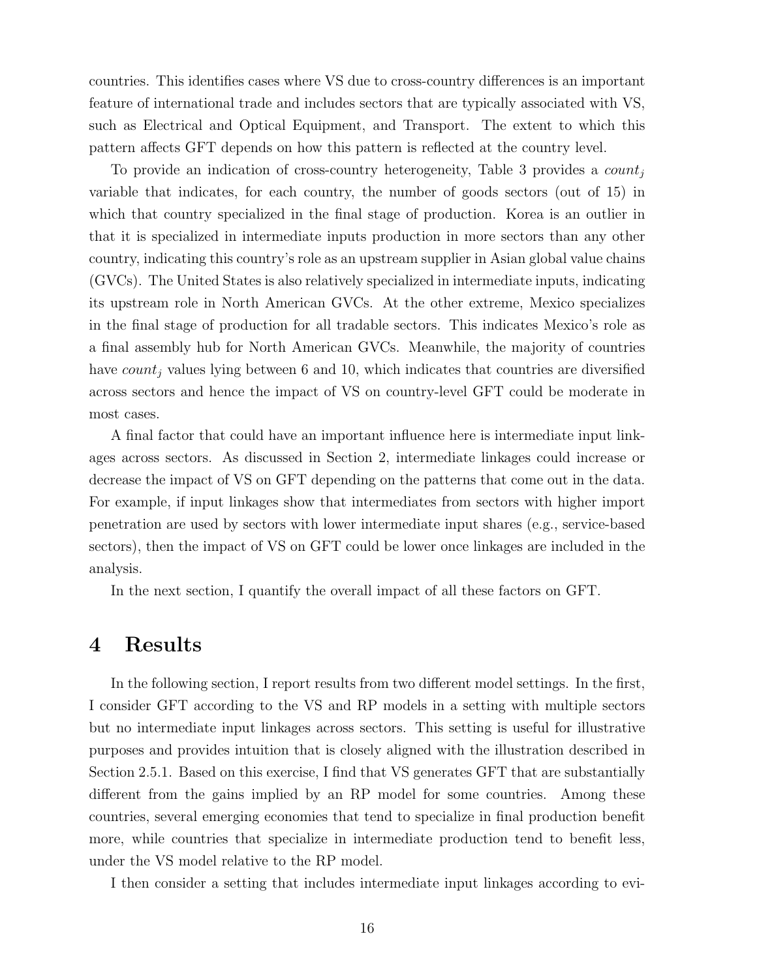countries. This identifies cases where VS due to cross-country differences is an important feature of international trade and includes sectors that are typically associated with VS, such as Electrical and Optical Equipment, and Transport. The extent to which this pattern affects GFT depends on how this pattern is reflected at the country level.

To provide an indication of cross-country heterogeneity, Table 3 provides a  $count_i$ variable that indicates, for each country, the number of goods sectors (out of 15) in which that country specialized in the final stage of production. Korea is an outlier in that it is specialized in intermediate inputs production in more sectors than any other country, indicating this country's role as an upstream supplier in Asian global value chains (GVCs). The United States is also relatively specialized in intermediate inputs, indicating its upstream role in North American GVCs. At the other extreme, Mexico specializes in the final stage of production for all tradable sectors. This indicates Mexico's role as a final assembly hub for North American GVCs. Meanwhile, the majority of countries have  $count_i$  values lying between 6 and 10, which indicates that countries are diversified across sectors and hence the impact of VS on country-level GFT could be moderate in most cases.

A final factor that could have an important influence here is intermediate input linkages across sectors. As discussed in Section 2, intermediate linkages could increase or decrease the impact of VS on GFT depending on the patterns that come out in the data. For example, if input linkages show that intermediates from sectors with higher import penetration are used by sectors with lower intermediate input shares (e.g., service-based sectors), then the impact of VS on GFT could be lower once linkages are included in the analysis.

In the next section, I quantify the overall impact of all these factors on GFT.

#### 4 Results

In the following section, I report results from two different model settings. In the first, I consider GFT according to the VS and RP models in a setting with multiple sectors but no intermediate input linkages across sectors. This setting is useful for illustrative purposes and provides intuition that is closely aligned with the illustration described in Section 2.5.1. Based on this exercise, I find that VS generates GFT that are substantially different from the gains implied by an RP model for some countries. Among these countries, several emerging economies that tend to specialize in final production benefit more, while countries that specialize in intermediate production tend to benefit less, under the VS model relative to the RP model.

I then consider a setting that includes intermediate input linkages according to evi-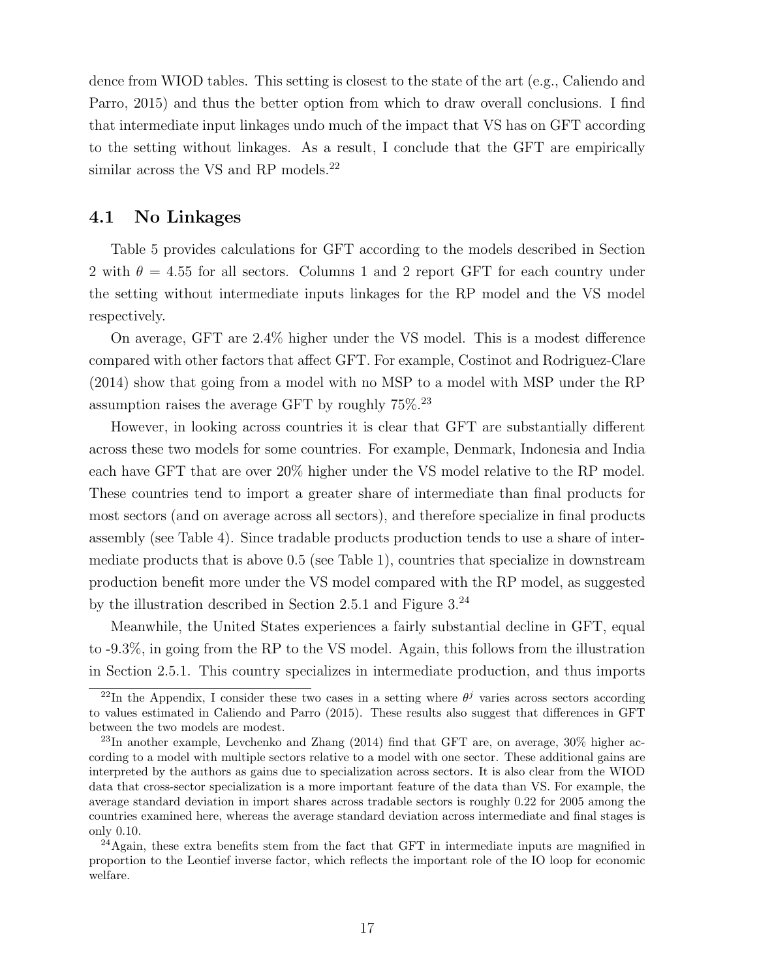dence from WIOD tables. This setting is closest to the state of the art (e.g., Caliendo and Parro, 2015) and thus the better option from which to draw overall conclusions. I find that intermediate input linkages undo much of the impact that VS has on GFT according to the setting without linkages. As a result, I conclude that the GFT are empirically similar across the VS and RP models.<sup>22</sup>

#### 4.1 No Linkages

Table 5 provides calculations for GFT according to the models described in Section 2 with  $\theta = 4.55$  for all sectors. Columns 1 and 2 report GFT for each country under the setting without intermediate inputs linkages for the RP model and the VS model respectively.

On average, GFT are 2.4% higher under the VS model. This is a modest difference compared with other factors that affect GFT. For example, Costinot and Rodriguez-Clare (2014) show that going from a model with no MSP to a model with MSP under the RP assumption raises the average GFT by roughly  $75\%$ <sup>23</sup>

However, in looking across countries it is clear that GFT are substantially different across these two models for some countries. For example, Denmark, Indonesia and India each have GFT that are over 20% higher under the VS model relative to the RP model. These countries tend to import a greater share of intermediate than final products for most sectors (and on average across all sectors), and therefore specialize in final products assembly (see Table 4). Since tradable products production tends to use a share of intermediate products that is above 0.5 (see Table 1), countries that specialize in downstream production benefit more under the VS model compared with the RP model, as suggested by the illustration described in Section 2.5.1 and Figure  $3.^{24}$ 

Meanwhile, the United States experiences a fairly substantial decline in GFT, equal to -9.3%, in going from the RP to the VS model. Again, this follows from the illustration in Section 2.5.1. This country specializes in intermediate production, and thus imports

<sup>&</sup>lt;sup>22</sup>In the Appendix, I consider these two cases in a setting where  $\theta^j$  varies across sectors according to values estimated in Caliendo and Parro (2015). These results also suggest that differences in GFT between the two models are modest.

 $^{23}$ In another example, Levchenko and Zhang (2014) find that GFT are, on average,  $30\%$  higher according to a model with multiple sectors relative to a model with one sector. These additional gains are interpreted by the authors as gains due to specialization across sectors. It is also clear from the WIOD data that cross-sector specialization is a more important feature of the data than VS. For example, the average standard deviation in import shares across tradable sectors is roughly 0.22 for 2005 among the countries examined here, whereas the average standard deviation across intermediate and final stages is only 0.10.

<sup>&</sup>lt;sup>24</sup>Again, these extra benefits stem from the fact that GFT in intermediate inputs are magnified in proportion to the Leontief inverse factor, which reflects the important role of the IO loop for economic welfare.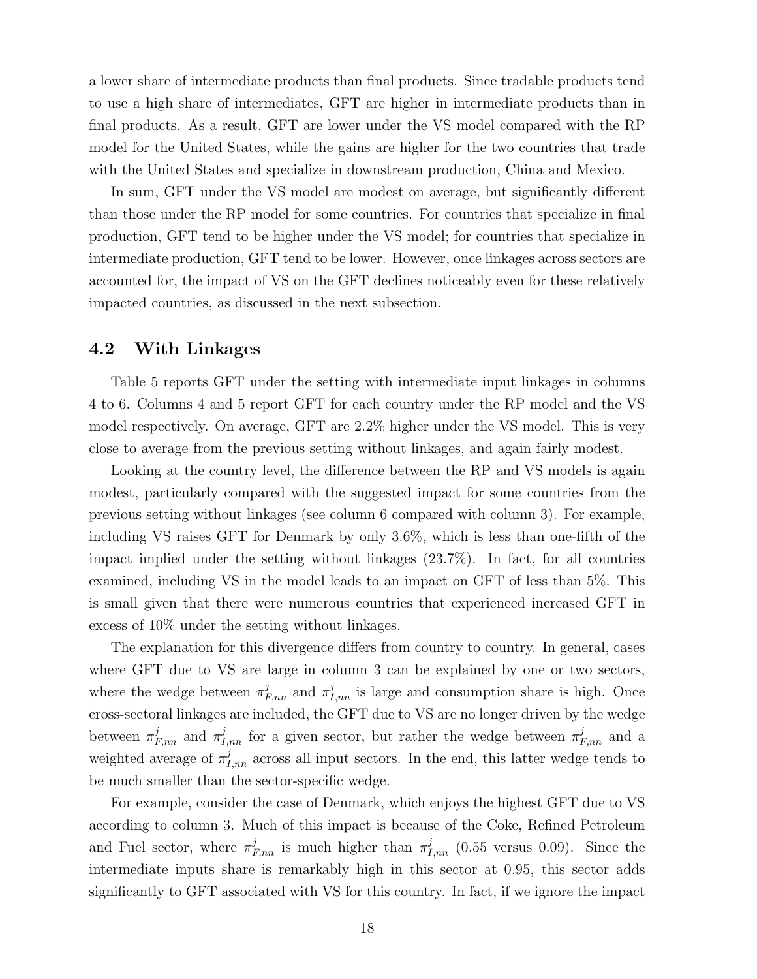a lower share of intermediate products than final products. Since tradable products tend to use a high share of intermediates, GFT are higher in intermediate products than in final products. As a result, GFT are lower under the VS model compared with the RP model for the United States, while the gains are higher for the two countries that trade with the United States and specialize in downstream production, China and Mexico.

In sum, GFT under the VS model are modest on average, but significantly different than those under the RP model for some countries. For countries that specialize in final production, GFT tend to be higher under the VS model; for countries that specialize in intermediate production, GFT tend to be lower. However, once linkages across sectors are accounted for, the impact of VS on the GFT declines noticeably even for these relatively impacted countries, as discussed in the next subsection.

#### 4.2 With Linkages

Table 5 reports GFT under the setting with intermediate input linkages in columns 4 to 6. Columns 4 and 5 report GFT for each country under the RP model and the VS model respectively. On average, GFT are 2.2% higher under the VS model. This is very close to average from the previous setting without linkages, and again fairly modest.

Looking at the country level, the difference between the RP and VS models is again modest, particularly compared with the suggested impact for some countries from the previous setting without linkages (see column 6 compared with column 3). For example, including VS raises GFT for Denmark by only 3.6%, which is less than one-fifth of the impact implied under the setting without linkages (23.7%). In fact, for all countries examined, including VS in the model leads to an impact on GFT of less than 5%. This is small given that there were numerous countries that experienced increased GFT in excess of 10% under the setting without linkages.

The explanation for this divergence differs from country to country. In general, cases where GFT due to VS are large in column 3 can be explained by one or two sectors, where the wedge between  $\pi_{F,nn}^j$  and  $\pi_{I,nn}^j$  is large and consumption share is high. Once cross-sectoral linkages are included, the GFT due to VS are no longer driven by the wedge between  $\pi_{F,nn}^j$  and  $\pi_{I,nn}^j$  for a given sector, but rather the wedge between  $\pi_{F,nn}^j$  and a weighted average of  $\pi^j_{I,m}$  across all input sectors. In the end, this latter wedge tends to be much smaller than the sector-specific wedge.

For example, consider the case of Denmark, which enjoys the highest GFT due to VS according to column 3. Much of this impact is because of the Coke, Refined Petroleum and Fuel sector, where  $\pi_{F,nn}^{j}$  is much higher than  $\pi_{I,nn}^{j}$  (0.55 versus 0.09). Since the intermediate inputs share is remarkably high in this sector at 0.95, this sector adds significantly to GFT associated with VS for this country. In fact, if we ignore the impact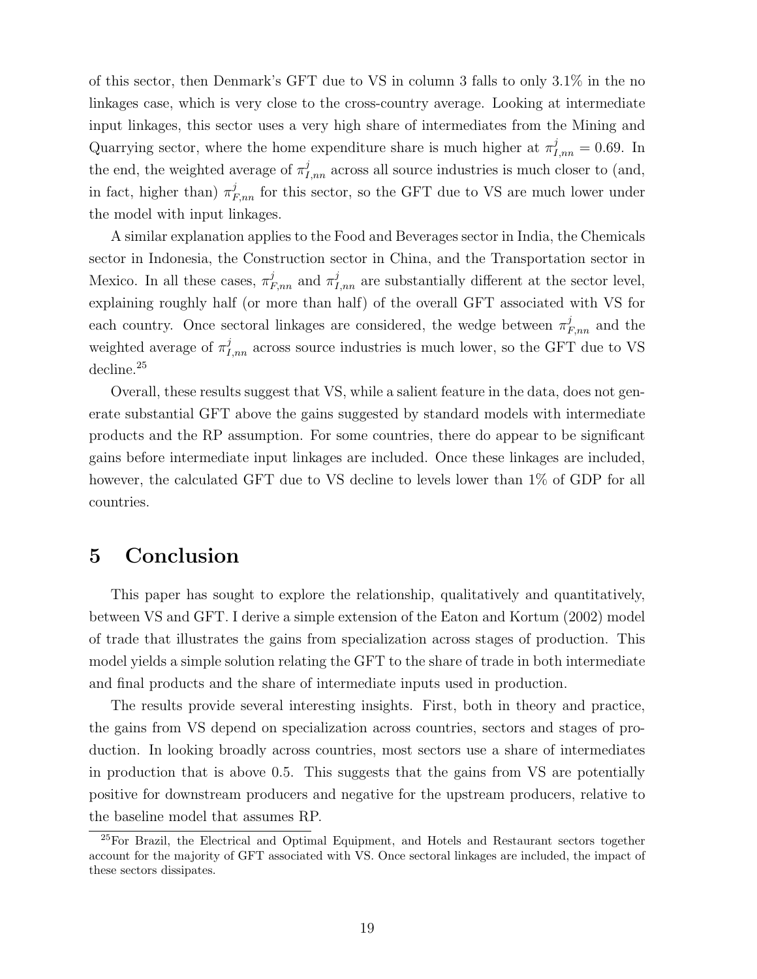of this sector, then Denmark's GFT due to VS in column 3 falls to only 3.1% in the no linkages case, which is very close to the cross-country average. Looking at intermediate input linkages, this sector uses a very high share of intermediates from the Mining and Quarrying sector, where the home expenditure share is much higher at  $\pi^j_{I,m} = 0.69$ . In the end, the weighted average of  $\pi^j_{I,nn}$  across all source industries is much closer to (and, in fact, higher than)  $\pi_{F,nn}^j$  for this sector, so the GFT due to VS are much lower under the model with input linkages.

A similar explanation applies to the Food and Beverages sector in India, the Chemicals sector in Indonesia, the Construction sector in China, and the Transportation sector in Mexico. In all these cases,  $\pi_{F,nn}^j$  and  $\pi_{I,nn}^j$  are substantially different at the sector level, explaining roughly half (or more than half) of the overall GFT associated with VS for each country. Once sectoral linkages are considered, the wedge between  $\pi_{F,nn}^j$  and the weighted average of  $\pi^j_{I,nn}$  across source industries is much lower, so the GFT due to VS decline.<sup>25</sup>

Overall, these results suggest that VS, while a salient feature in the data, does not generate substantial GFT above the gains suggested by standard models with intermediate products and the RP assumption. For some countries, there do appear to be significant gains before intermediate input linkages are included. Once these linkages are included, however, the calculated GFT due to VS decline to levels lower than 1% of GDP for all countries.

# 5 Conclusion

This paper has sought to explore the relationship, qualitatively and quantitatively, between VS and GFT. I derive a simple extension of the Eaton and Kortum (2002) model of trade that illustrates the gains from specialization across stages of production. This model yields a simple solution relating the GFT to the share of trade in both intermediate and final products and the share of intermediate inputs used in production.

The results provide several interesting insights. First, both in theory and practice, the gains from VS depend on specialization across countries, sectors and stages of production. In looking broadly across countries, most sectors use a share of intermediates in production that is above 0.5. This suggests that the gains from VS are potentially positive for downstream producers and negative for the upstream producers, relative to the baseline model that assumes RP.

<sup>&</sup>lt;sup>25</sup>For Brazil, the Electrical and Optimal Equipment, and Hotels and Restaurant sectors together account for the majority of GFT associated with VS. Once sectoral linkages are included, the impact of these sectors dissipates.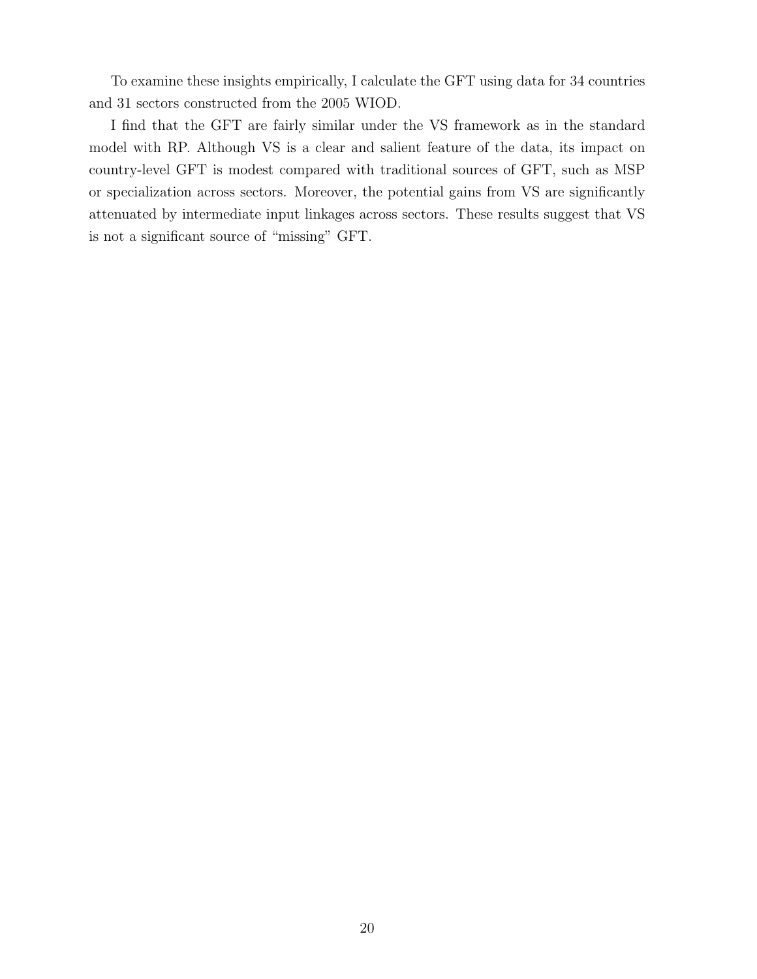To examine these insights empirically, I calculate the GFT using data for 34 countries and 31 sectors constructed from the 2005 WIOD.

I find that the GFT are fairly similar under the VS framework as in the standard model with RP. Although VS is a clear and salient feature of the data, its impact on country-level GFT is modest compared with traditional sources of GFT, such as MSP or specialization across sectors. Moreover, the potential gains from VS are significantly attenuated by intermediate input linkages across sectors. These results suggest that VS is not a significant source of "missing" GFT.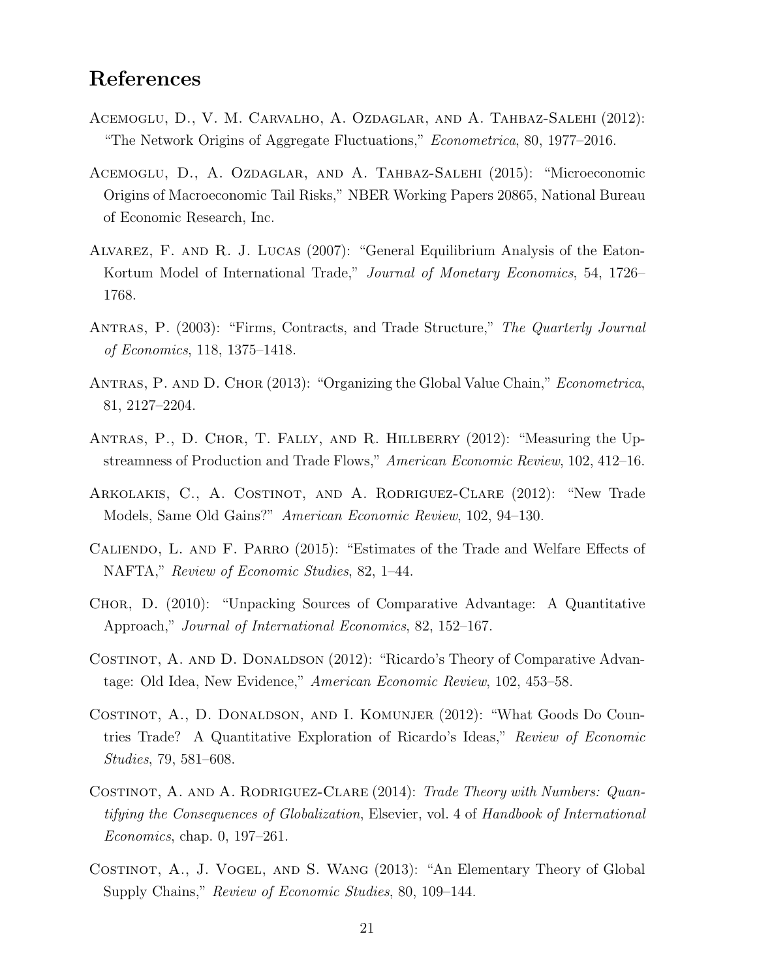# References

- Acemoglu, D., V. M. Carvalho, A. Ozdaglar, and A. Tahbaz-Salehi (2012): "The Network Origins of Aggregate Fluctuations," Econometrica, 80, 1977–2016.
- Acemoglu, D., A. Ozdaglar, and A. Tahbaz-Salehi (2015): "Microeconomic Origins of Macroeconomic Tail Risks," NBER Working Papers 20865, National Bureau of Economic Research, Inc.
- Alvarez, F. and R. J. Lucas (2007): "General Equilibrium Analysis of the Eaton-Kortum Model of International Trade," Journal of Monetary Economics, 54, 1726– 1768.
- Antras, P. (2003): "Firms, Contracts, and Trade Structure," The Quarterly Journal of Economics, 118, 1375–1418.
- ANTRAS, P. AND D. CHOR (2013): "Organizing the Global Value Chain," Econometrica, 81, 2127–2204.
- Antras, P., D. Chor, T. Fally, and R. Hillberry (2012): "Measuring the Upstreamness of Production and Trade Flows," American Economic Review, 102, 412–16.
- Arkolakis, C., A. Costinot, and A. Rodriguez-Clare (2012): "New Trade Models, Same Old Gains?" American Economic Review, 102, 94–130.
- Caliendo, L. and F. Parro (2015): "Estimates of the Trade and Welfare Effects of NAFTA," Review of Economic Studies, 82, 1–44.
- Chor, D. (2010): "Unpacking Sources of Comparative Advantage: A Quantitative Approach," Journal of International Economics, 82, 152–167.
- COSTINOT, A. AND D. DONALDSON (2012): "Ricardo's Theory of Comparative Advantage: Old Idea, New Evidence," American Economic Review, 102, 453–58.
- Costinot, A., D. Donaldson, and I. Komunjer (2012): "What Goods Do Countries Trade? A Quantitative Exploration of Ricardo's Ideas," Review of Economic Studies, 79, 581–608.
- COSTINOT, A. AND A. RODRIGUEZ-CLARE (2014): Trade Theory with Numbers: Quantifying the Consequences of Globalization, Elsevier, vol. 4 of Handbook of International Economics, chap. 0, 197–261.
- Costinot, A., J. Vogel, and S. Wang (2013): "An Elementary Theory of Global Supply Chains," Review of Economic Studies, 80, 109–144.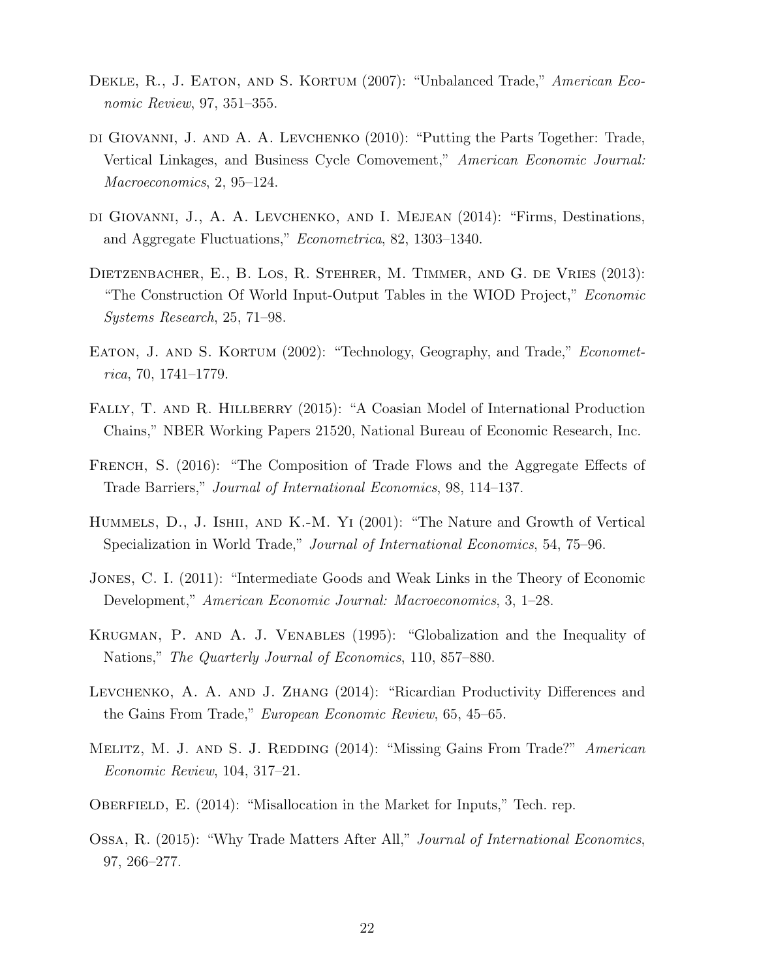- DEKLE, R., J. EATON, AND S. KORTUM (2007): "Unbalanced Trade," American Economic Review, 97, 351–355.
- di Giovanni, J. and A. A. Levchenko (2010): "Putting the Parts Together: Trade, Vertical Linkages, and Business Cycle Comovement," American Economic Journal: Macroeconomics, 2, 95–124.
- di Giovanni, J., A. A. Levchenko, and I. Mejean (2014): "Firms, Destinations, and Aggregate Fluctuations," Econometrica, 82, 1303–1340.
- Dietzenbacher, E., B. Los, R. Stehrer, M. Timmer, and G. de Vries (2013): "The Construction Of World Input-Output Tables in the WIOD Project," Economic Systems Research, 25, 71–98.
- EATON, J. AND S. KORTUM (2002): "Technology, Geography, and Trade," *Economet*rica, 70, 1741–1779.
- FALLY, T. AND R. HILLBERRY (2015): "A Coasian Model of International Production Chains," NBER Working Papers 21520, National Bureau of Economic Research, Inc.
- French, S. (2016): "The Composition of Trade Flows and the Aggregate Effects of Trade Barriers," Journal of International Economics, 98, 114–137.
- Hummels, D., J. Ishii, and K.-M. Yi (2001): "The Nature and Growth of Vertical Specialization in World Trade," Journal of International Economics, 54, 75–96.
- Jones, C. I. (2011): "Intermediate Goods and Weak Links in the Theory of Economic Development," American Economic Journal: Macroeconomics, 3, 1–28.
- Krugman, P. and A. J. Venables (1995): "Globalization and the Inequality of Nations," The Quarterly Journal of Economics, 110, 857–880.
- Levchenko, A. A. and J. Zhang (2014): "Ricardian Productivity Differences and the Gains From Trade," European Economic Review, 65, 45–65.
- MELITZ, M. J. AND S. J. REDDING (2014): "Missing Gains From Trade?" American Economic Review, 104, 317–21.
- OBERFIELD, E. (2014): "Misallocation in the Market for Inputs," Tech. rep.
- Ossa, R. (2015): "Why Trade Matters After All," Journal of International Economics, 97, 266–277.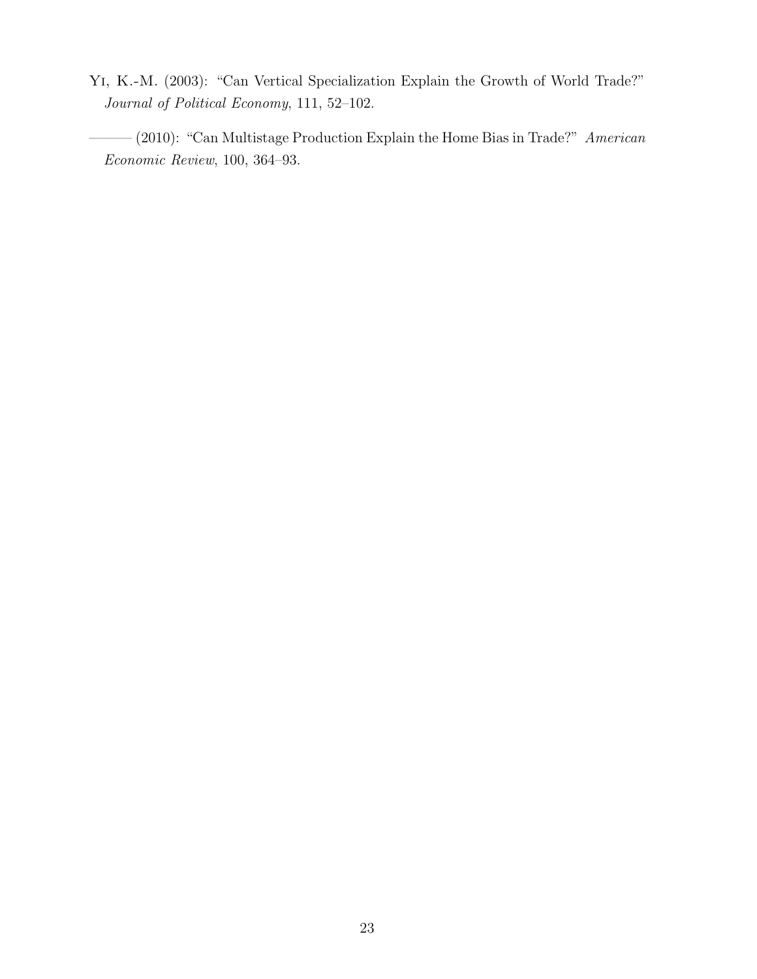Yi, K.-M. (2003): "Can Vertical Specialization Explain the Growth of World Trade?" Journal of Political Economy, 111, 52–102.

——— (2010): "Can Multistage Production Explain the Home Bias in Trade?" American Economic Review, 100, 364–93.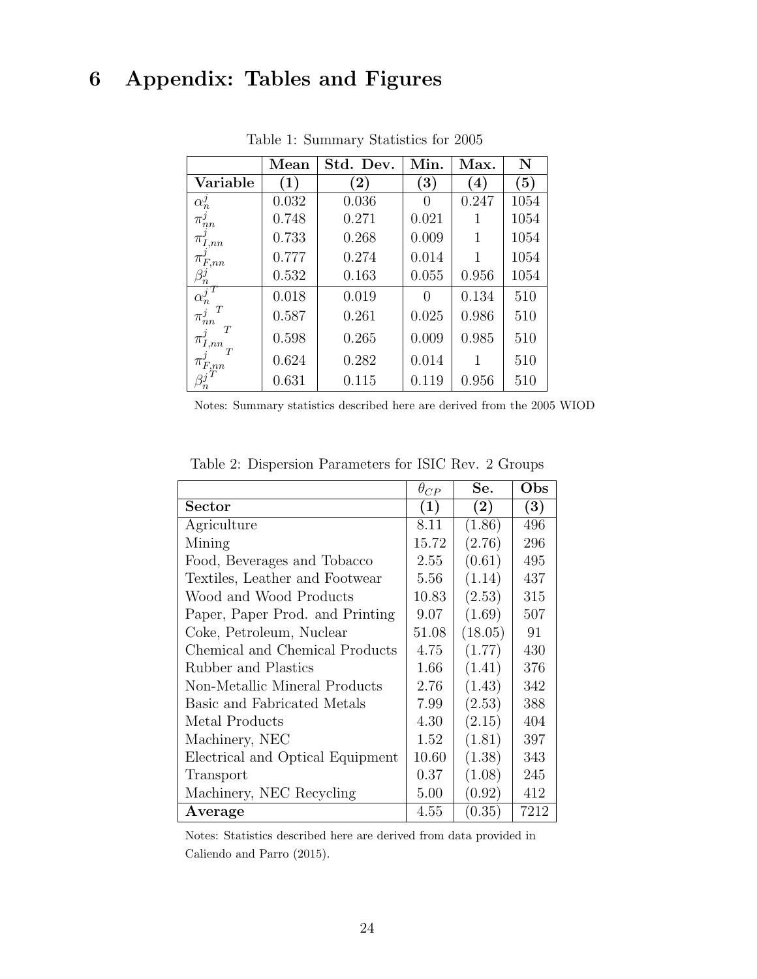# 6 Appendix: Tables and Figures

|                                              | $\operatorname{Mean}$ | Std. Dev.         | Min.             | Max.              | N    |
|----------------------------------------------|-----------------------|-------------------|------------------|-------------------|------|
| Variable                                     | $\left( 1\right)$     | $\left( 2\right)$ | (3)              | $\left( 4\right)$ | (5)  |
| $\alpha_n^j$                                 | 0.032                 | 0.036             | $\theta$         | 0.247             | 1054 |
| $\pi^{\jmath}_{nn}$                          | 0.748                 | 0.271             | 0.021            |                   | 1054 |
| $\pi$<br>, nn                                | 0.733                 | 0.268             | 0.009            | 1                 | 1054 |
| $\pi_{F,nn}^{\scriptscriptstyle\prime}$      | 0.777                 | 0.274             | 0.014            | 1                 | 1054 |
| $\frac{\beta_n^j}{n}$                        | 0.532                 | 0.163             | 0.055            | 0.956             | 1054 |
| $\alpha_n^j$                                 | 0.018                 | 0.019             | $\left( \right)$ | 0.134             | 510  |
| T<br>$\pi^{\jmath}_{nn}$                     | 0.587                 | 0.261             | 0.025            | 0.986             | 510  |
| T<br>$\pi_{I,nn}^{\scriptscriptstyle\prime}$ | 0.598                 | 0.265             | 0.009            | 0.985             | 510  |
| $\pi_{F,nn}^{\scriptscriptstyle\prime}$      | 0.624                 | 0.282             | 0.014            |                   | 510  |
|                                              | 0.631                 | 0.115             | 0.119            | 0.956             | 510  |

Table 1: Summary Statistics for 2005

Notes: Summary statistics described here are derived from the 2005 WIOD

|                                  | $\theta_{CP}$ | Se.     | Obs  |
|----------------------------------|---------------|---------|------|
| Sector                           | (1)           | (2)     | (3)  |
| Agriculture                      | 8.11          | (1.86)  | 496  |
| Mining                           | 15.72         | (2.76)  | 296  |
| Food, Beverages and Tobacco      | 2.55          | (0.61)  | 495  |
| Textiles, Leather and Footwear   | 5.56          | (1.14)  | 437  |
| Wood and Wood Products           | 10.83         | (2.53)  | 315  |
| Paper, Paper Prod. and Printing  | 9.07          | (1.69)  | 507  |
| Coke, Petroleum, Nuclear         | 51.08         | (18.05) | 91   |
| Chemical and Chemical Products   | 4.75          | (1.77)  | 430  |
| Rubber and Plastics              | 1.66          | (1.41)  | 376  |
| Non-Metallic Mineral Products    | 2.76          | (1.43)  | 342  |
| Basic and Fabricated Metals      | 7.99          | (2.53)  | 388  |
| Metal Products                   | 4.30          | (2.15)  | 404  |
| Machinery, NEC                   | 1.52          | (1.81)  | 397  |
| Electrical and Optical Equipment | 10.60         | (1.38)  | 343  |
| Transport                        | 0.37          | (1.08)  | 245  |
| Machinery, NEC Recycling         | 5.00          | (0.92)  | 412  |
| Average                          | 4.55          | (0.35)  | 7212 |

Table 2: Dispersion Parameters for ISIC Rev. 2 Groups

Notes: Statistics described here are derived from data provided in Caliendo and Parro (2015).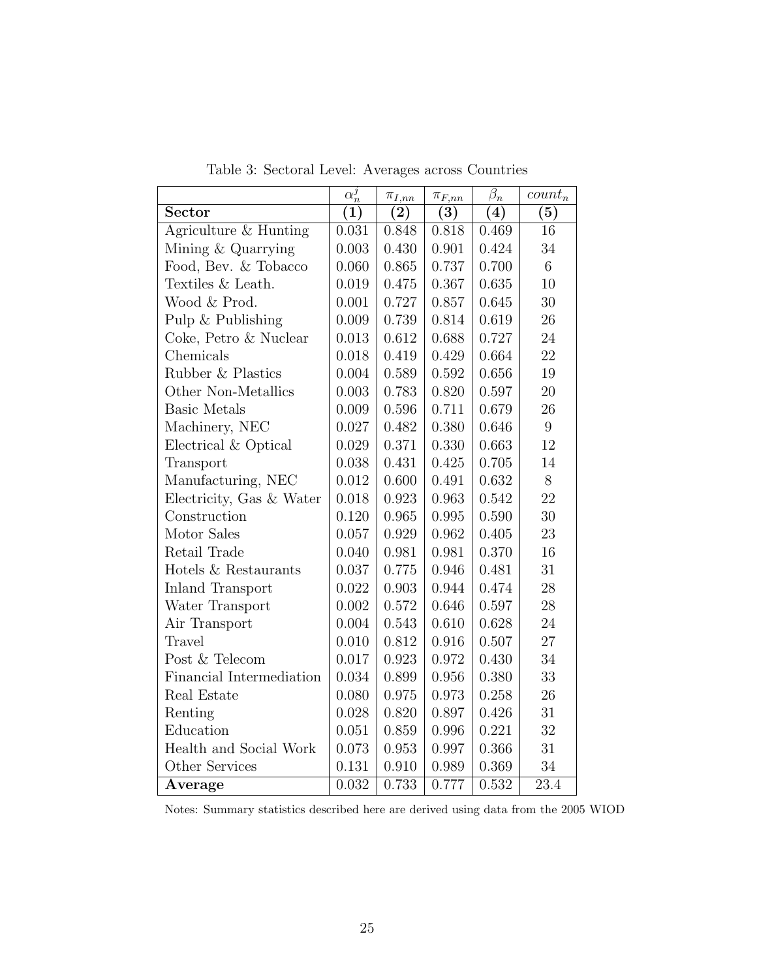|                          | $\alpha_n^j$ | $\pi_{I,nn}$ | $\pi_{F,nn}$       | $\beta_n$ | $count_n$         |
|--------------------------|--------------|--------------|--------------------|-----------|-------------------|
| Sector                   | (1)          | (2)          | (3)                | (4)       | (5)               |
| Agriculture & Hunting    | 0.031        | 0.848        | 0.818              | 0.469     | 16                |
| Mining & Quarrying       | 0.003        | 0.430        | 0.901              | 0.424     | 34                |
| Food, Bev. & Tobacco     | 0.060        | 0.865        | 0.737              | 0.700     | $6\phantom{.}6$   |
| Textiles & Leath.        | 0.019        | 0.475        | 0.367              | 0.635     | 10                |
| Wood & Prod.             | 0.001        | 0.727        | 0.857              | 0.645     | 30                |
| Pulp & Publishing        | 0.009        | 0.739        | 0.814              | 0.619     | 26                |
| Coke, Petro & Nuclear    | 0.013        | 0.612        | 0.688              | 0.727     | 24                |
| Chemicals                | 0.018        | 0.419        | 0.429              | 0.664     | 22                |
| Rubber & Plastics        | 0.004        | 0.589        | 0.592              | 0.656     | 19                |
| Other Non-Metallics      | 0.003        | 0.783        | 0.820              | 0.597     | 20                |
| <b>Basic Metals</b>      | 0.009        | 0.596        | 0.711              | 0.679     | 26                |
| Machinery, NEC           | 0.027        | 0.482        | 0.380              | 0.646     | $9\phantom{.0}$   |
| Electrical & Optical     | 0.029        | 0.371        | 0.330              | 0.663     | 12                |
| Transport                | 0.038        | 0.431        | 0.425              | 0.705     | 14                |
| Manufacturing, NEC       | 0.012        | 0.600        | 0.491              | 0.632     | 8                 |
| Electricity, Gas & Water | 0.018        | 0.923        | 0.963              | 0.542     | 22                |
| Construction             | 0.120        | 0.965        | 0.995              | 0.590     | 30                |
| Motor Sales              | 0.057        | 0.929        | 0.962              | 0.405     | 23                |
| Retail Trade             | 0.040        | 0.981        | 0.981              | 0.370     | 16                |
| Hotels & Restaurants     | 0.037        | 0.775        | 0.946              | 0.481     | 31                |
| <b>Inland Transport</b>  | 0.022        | 0.903        | 0.944              | 0.474     | 28                |
| Water Transport          | 0.002        | 0.572        | 0.646              | 0.597     | 28                |
| Air Transport            | 0.004        | 0.543        | 0.610              | 0.628     | 24                |
| Travel                   | 0.010        | 0.812        | 0.916              | 0.507     | $27\,$            |
| Post & Telecom           | 0.017        | 0.923        | 0.972              | 0.430     | 34                |
| Financial Intermediation | 0.034        | 0.899        | 0.956              | 0.380     | 33                |
| Real Estate              | 0.080        | 0.975        | 0.973              | 0.258     | 26                |
| Renting                  | 0.028        | 0.820        | 0.897              | 0.426     | 31                |
| Education                | 0.051        | 0.859        | 0.996              | 0.221     | 32                |
| Health and Social Work   | 0.073        | 0.953        | 0.997              | 0.366     | 31                |
| Other Services           | 0.131        | 0.910        | 0.989              | 0.369     | 34                |
| Average                  | 0.032        | 0.733        | $\overline{0.777}$ | 0.532     | $\overline{23.4}$ |

Table 3: Sectoral Level: Averages across Countries

Notes: Summary statistics described here are derived using data from the 2005 WIOD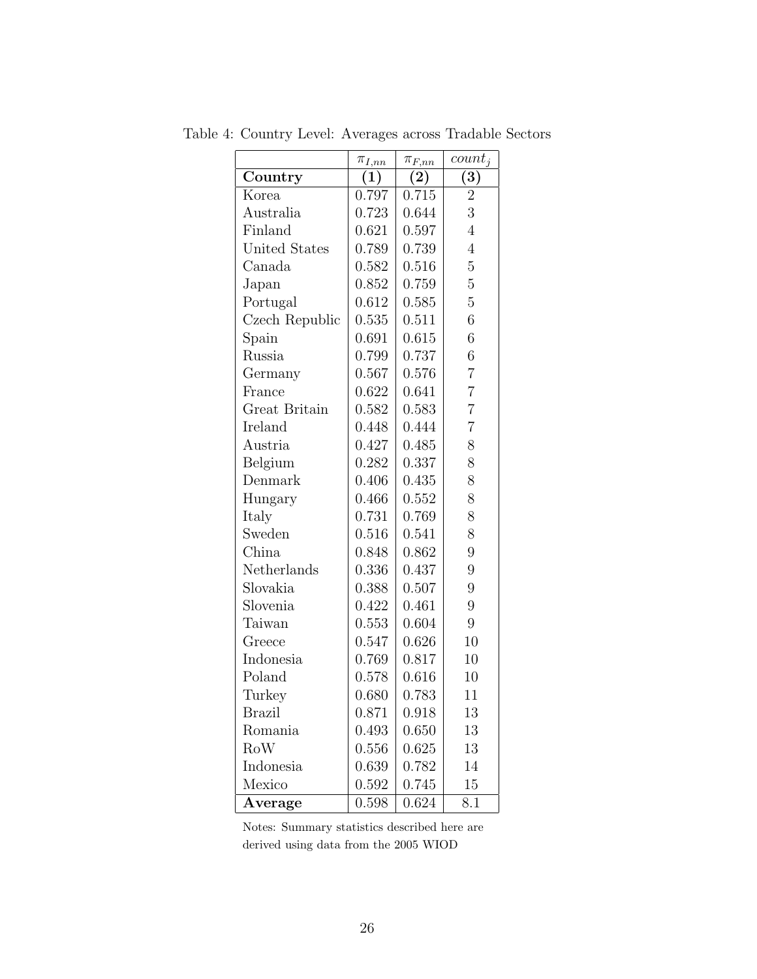|                      | $\pi_{I,nn}$ | $\pi_{F,nn}$ | $count_i$        |
|----------------------|--------------|--------------|------------------|
| Country              | (1)          | (2)          | $\overline{(3)}$ |
| Korea                | 0.797        | 0.715        | $\overline{2}$   |
| Australia            | 0.723        | 0.644        | 3                |
| Finland              | 0.621        | 0.597        | $\overline{4}$   |
| <b>United States</b> | 0.789        | 0.739        | $\overline{4}$   |
| Canada               | 0.582        | 0.516        | $\overline{5}$   |
| Japan                | 0.852        | 0.759        | $\overline{5}$   |
| Portugal             | 0.612        | 0.585        | $\overline{5}$   |
| Czech Republic       | 0.535        | 0.511        | 6                |
| Spain                | 0.691        | 0.615        | 6                |
| Russia               | 0.799        | 0.737        | 6                |
| Germany              | 0.567        | 0.576        | $\overline{7}$   |
| France               | 0.622        | 0.641        | $\overline{7}$   |
| Great Britain        | 0.582        | 0.583        | $\overline{7}$   |
| Ireland              | 0.448        | 0.444        | $\overline{7}$   |
| Austria              | 0.427        | 0.485        | 8                |
| Belgium              | 0.282        | 0.337        | 8                |
| Denmark              | 0.406        | 0.435        | 8                |
| Hungary              | 0.466        | 0.552        | 8                |
| Italy                | 0.731        | 0.769        | 8                |
| Sweden               | 0.516        | 0.541        | 8                |
| China                | 0.848        | 0.862        | 9                |
| Netherlands          | 0.336        | 0.437        | 9                |
| Slovakia             | 0.388        | 0.507        | 9                |
| Slovenia             | 0.422        | 0.461        | 9                |
| Taiwan               | 0.553        | 0.604        | 9                |
| Greece               | 0.547        | 0.626        | 10               |
| Indonesia            | 0.769        | 0.817        | 10               |
| Poland               | 0.578        | 0.616        | 10               |
| Turkey               | 0.680        | 0.783        | 11               |
| <b>Brazil</b>        | 0.871        | 0.918        | 13               |
| Romania              | 0.493        | 0.650        | 13               |
| RoW                  | 0.556        | 0.625        | 13               |
| Indonesia            | 0.639        | 0.782        | 14               |
| Mexico               | 0.592        | 0.745        | 15               |
| Average              | 0.598        | 0.624        | 8.1              |

Table 4: Country Level: Averages across Tradable Sectors

Notes: Summary statistics described here are derived using data from the 2005 WIOD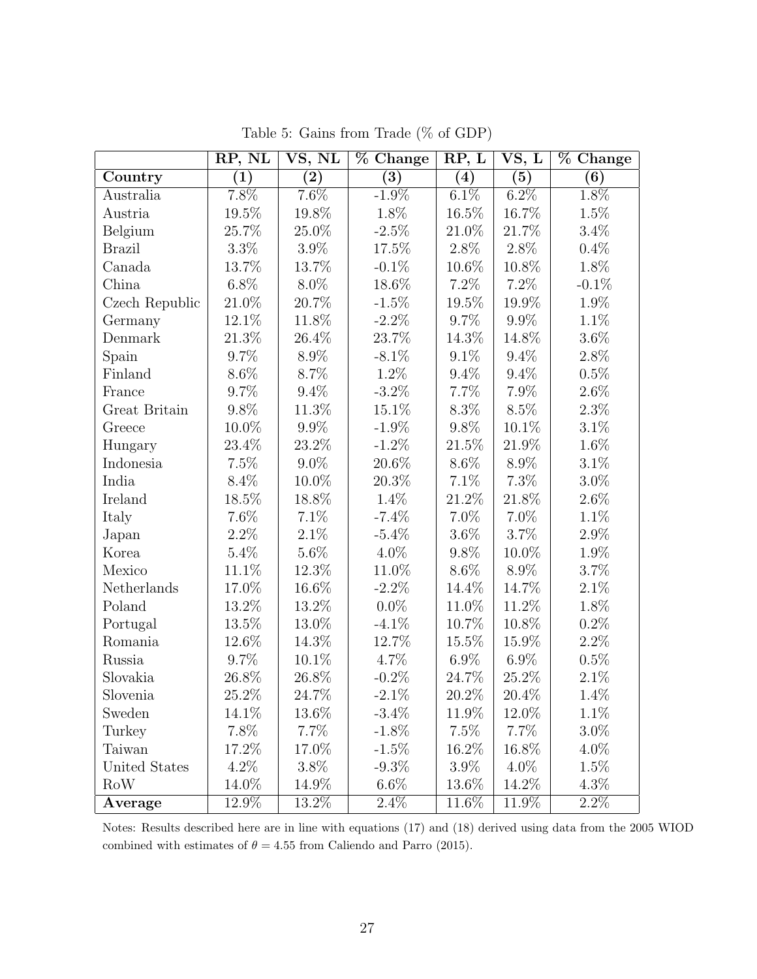|                | RP, NL           | VS, NL   | % Change          | RP, L   | VS, L   | % Change |
|----------------|------------------|----------|-------------------|---------|---------|----------|
| Country        | $\left(1\right)$ | $\rm(2)$ | $\left( 3\right)$ | (4)     | (5)     | (6)      |
| Australia      | $7.8\%$          | 7.6%     | $-1.9\%$          | $6.1\%$ | $6.2\%$ | $1.8\%$  |
| Austria        | 19.5%            | 19.8%    | 1.8%              | 16.5%   | 16.7%   | 1.5%     |
| Belgium        | 25.7%            | 25.0%    | $-2.5\%$          | 21.0%   | 21.7%   | $3.4\%$  |
| <b>Brazil</b>  | $3.3\%$          | $3.9\%$  | 17.5%             | 2.8%    | $2.8\%$ | 0.4%     |
| Canada         | 13.7%            | 13.7%    | $-0.1\%$          | 10.6%   | 10.8%   | 1.8%     |
| China          | $6.8\%$          | 8.0%     | 18.6%             | 7.2%    | 7.2%    | $-0.1\%$ |
| Czech Republic | 21.0%            | 20.7%    | $-1.5\%$          | 19.5%   | 19.9%   | 1.9%     |
| Germany        | $12.1\%$         | 11.8%    | $-2.2\%$          | 9.7%    | $9.9\%$ | 1.1%     |
| Denmark        | 21.3%            | 26.4%    | $23.7\%$          | 14.3%   | 14.8%   | $3.6\%$  |
| Spain          | 9.7%             | 8.9%     | $-8.1\%$          | $9.1\%$ | $9.4\%$ | 2.8%     |
| Finland        | 8.6%             | 8.7%     | 1.2%              | $9.4\%$ | $9.4\%$ | 0.5%     |
| France         | 9.7%             | $9.4\%$  | $-3.2\%$          | 7.7%    | 7.9%    | $2.6\%$  |
| Great Britain  | 9.8%             | 11.3%    | 15.1%             | 8.3%    | 8.5%    | 2.3%     |
| Greece         | 10.0%            | 9.9%     | $-1.9\%$          | 9.8%    | 10.1%   | $3.1\%$  |
| Hungary        | 23.4%            | 23.2%    | $-1.2\%$          | 21.5%   | 21.9%   | $1.6\%$  |
| Indonesia      | 7.5%             | $9.0\%$  | 20.6%             | $8.6\%$ | 8.9%    | $3.1\%$  |
| India          | 8.4%             | 10.0%    | 20.3%             | 7.1%    | 7.3%    | $3.0\%$  |
| Ireland        | 18.5%            | 18.8%    | 1.4%              | 21.2%   | 21.8%   | $2.6\%$  |
| Italy          | 7.6%             | 7.1%     | $-7.4\%$          | 7.0%    | 7.0%    | 1.1%     |
| Japan          | $2.2\%$          | $2.1\%$  | $-5.4\%$          | $3.6\%$ | 3.7%    | 2.9%     |
| Korea          | 5.4%             | $5.6\%$  | 4.0%              | 9.8%    | 10.0%   | 1.9%     |
| Mexico         | 11.1%            | 12.3%    | 11.0%             | 8.6%    | 8.9%    | 3.7%     |
| Netherlands    | 17.0%            | 16.6%    | $-2.2\%$          | 14.4%   | 14.7%   | 2.1%     |
| Poland         | 13.2%            | 13.2%    | $0.0\%$           | 11.0%   | 11.2%   | 1.8%     |
| Portugal       | 13.5%            | 13.0%    | $-4.1\%$          | 10.7%   | 10.8%   | 0.2%     |
| Romania        | 12.6%            | 14.3%    | 12.7%             | 15.5%   | 15.9%   | 2.2%     |
| Russia         | 9.7%             | 10.1%    | 4.7%              | $6.9\%$ | $6.9\%$ | 0.5%     |
| Slovakia       | 26.8%            | 26.8%    | $-0.2\%$          | 24.7\%  | 25.2%   | 2.1%     |
| Slovenia       | 25.2%            | 24.7%    | $-2.1\%$          | 20.2\%  | 20.4%   | 1.4%     |
| Sweden         | 14.1\%           | 13.6%    | $-3.4\%$          | 11.9%   | 12.0%   | 1.1%     |
| Turkey         | 7.8%             | 7.7%     | $-1.8\%$          | 7.5%    | 7.7%    | $3.0\%$  |
| Taiwan         | 17.2\%           | 17.0%    | $-1.5\%$          | 16.2%   | 16.8%   | $4.0\%$  |
| United States  | $4.2\%$          | $3.8\%$  | $-9.3\%$          | 3.9%    | $4.0\%$ | $1.5\%$  |
| <b>RoW</b>     | 14.0%            | 14.9%    | $6.6\%$           | 13.6%   | 14.2%   | 4.3%     |
| Average        | 12.9%            | 13.2%    | 2.4%              | 11.6%   | 11.9%   | $2.2\%$  |

Table 5: Gains from Trade (% of GDP)

Notes: Results described here are in line with equations (17) and (18) derived using data from the 2005 WIOD combined with estimates of  $\theta = 4.55$  from Caliendo and Parro (2015).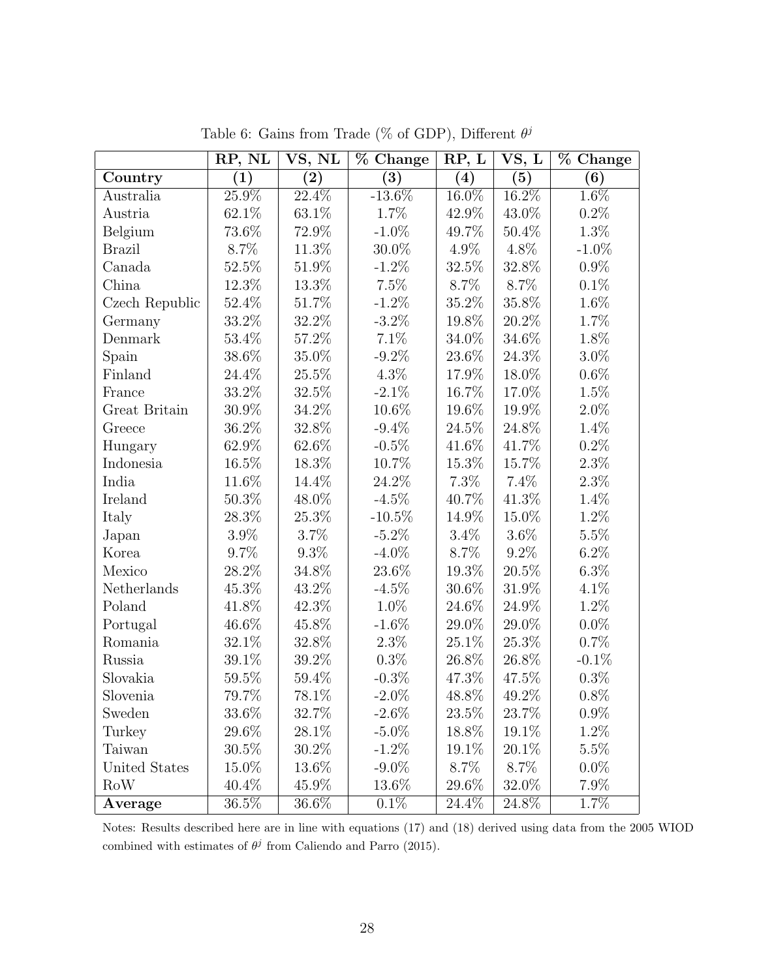|                | RP, NL           | VS, NL           | % Change         | RP, L   | VS, L    | % Change         |
|----------------|------------------|------------------|------------------|---------|----------|------------------|
| Country        | $\overline{(1)}$ | $\overline{(2)}$ | $\overline{(3)}$ | (4)     | (5)      | $\overline{(6)}$ |
| Australia      | 25.9%            | 22.4%            | $-13.6\%$        | 16.0%   | $16.2\%$ | 1.6%             |
| Austria        | 62.1%            | 63.1%            | 1.7%             | 42.9%   | 43.0%    | 0.2%             |
| Belgium        | 73.6%            | 72.9%            | $-1.0\%$         | 49.7%   | 50.4%    | 1.3%             |
| <b>Brazil</b>  | 8.7%             | 11.3%            | 30.0%            | 4.9%    | 4.8%     | $-1.0\%$         |
| Canada         | 52.5%            | 51.9%            | $-1.2\%$         | 32.5%   | 32.8%    | $0.9\%$          |
| China          | 12.3%            | 13.3%            | 7.5%             | 8.7%    | 8.7%     | $0.1\%$          |
| Czech Republic | 52.4%            | 51.7%            | $-1.2\%$         | 35.2%   | 35.8%    | 1.6%             |
| Germany        | 33.2%            | 32.2%            | $-3.2\%$         | 19.8%   | 20.2%    | 1.7%             |
| Denmark        | 53.4%            | $57.2\%$         | 7.1%             | 34.0%   | 34.6%    | 1.8%             |
| Spain          | 38.6%            | 35.0%            | $-9.2\%$         | 23.6%   | 24.3%    | $3.0\%$          |
| Finland        | 24.4%            | 25.5%            | $4.3\%$          | 17.9%   | 18.0%    | $0.6\%$          |
| France         | 33.2%            | 32.5%            | $-2.1\%$         | 16.7%   | 17.0%    | 1.5%             |
| Great Britain  | 30.9%            | 34.2%            | 10.6%            | 19.6%   | 19.9%    | $2.0\%$          |
| Greece         | 36.2%            | 32.8%            | $-9.4\%$         | 24.5%   | 24.8%    | 1.4%             |
| Hungary        | 62.9%            | 62.6%            | $-0.5\%$         | 41.6%   | 41.7%    | 0.2%             |
| Indonesia      | $16.5\%$         | 18.3%            | 10.7%            | 15.3%   | 15.7%    | $2.3\%$          |
| India          | 11.6%            | 14.4%            | 24.2%            | 7.3%    | 7.4%     | 2.3%             |
| Ireland        | 50.3%            | 48.0%            | $-4.5\%$         | 40.7%   | 41.3%    | 1.4%             |
| Italy          | 28.3%            | 25.3%            | $-10.5\%$        | 14.9%   | 15.0%    | 1.2%             |
| Japan          | 3.9%             | 3.7%             | $-5.2\%$         | $3.4\%$ | $3.6\%$  | 5.5%             |
| Korea          | 9.7%             | $9.3\%$          | $-4.0\%$         | 8.7%    | $9.2\%$  | $6.2\%$          |
| Mexico         | 28.2%            | 34.8%            | 23.6%            | 19.3%   | 20.5%    | $6.3\%$          |
| Netherlands    | 45.3%            | 43.2%            | $-4.5\%$         | 30.6%   | $31.9\%$ | 4.1%             |
| Poland         | 41.8%            | 42.3%            | 1.0%             | 24.6%   | 24.9%    | 1.2%             |
| Portugal       | 46.6%            | 45.8%            | $-1.6\%$         | 29.0%   | 29.0%    | $0.0\%$          |
| Romania        | 32.1%            | 32.8%            | 2.3%             | 25.1%   | $25.3\%$ | 0.7%             |
| Russia         | 39.1%            | 39.2%            | 0.3%             | 26.8%   | 26.8%    | $-0.1\%$         |
| Slovakia       | 59.5%            | 59.4%            | $-0.3\%$         | 47.3%   | 47.5%    | 0.3%             |
| Slovenia       | 79.7%            | 78.1%            | $-2.0\%$         | 48.8%   | 49.2%    | 0.8%             |
| Sweden         | 33.6%            | 32.7%            | $-2.6\%$         | 23.5%   | 23.7%    | $0.9\%$          |
| Turkey         | 29.6%            | 28.1\%           | $-5.0\%$         | 18.8%   | 19.1\%   | 1.2%             |
| Taiwan         | $30.5\%$         | $30.2\%$         | $-1.2\%$         | 19.1\%  | $20.1\%$ | 5.5%             |
| United States  | 15.0%            | 13.6%            | $-9.0\%$         | 8.7%    | 8.7%     | $0.0\%$          |
| <b>RoW</b>     | 40.4%            | 45.9%            | 13.6%            | 29.6%   | 32.0%    | 7.9%             |
| Average        | 36.5%            | 36.6%            | $0.1\%$          | 24.4\%  | 24.8%    | 1.7%             |

Table 6: Gains from Trade (% of GDP), Different  $\theta^j$ 

Notes: Results described here are in line with equations (17) and (18) derived using data from the 2005 WIOD combined with estimates of  $\theta^j$  from Caliendo and Parro (2015).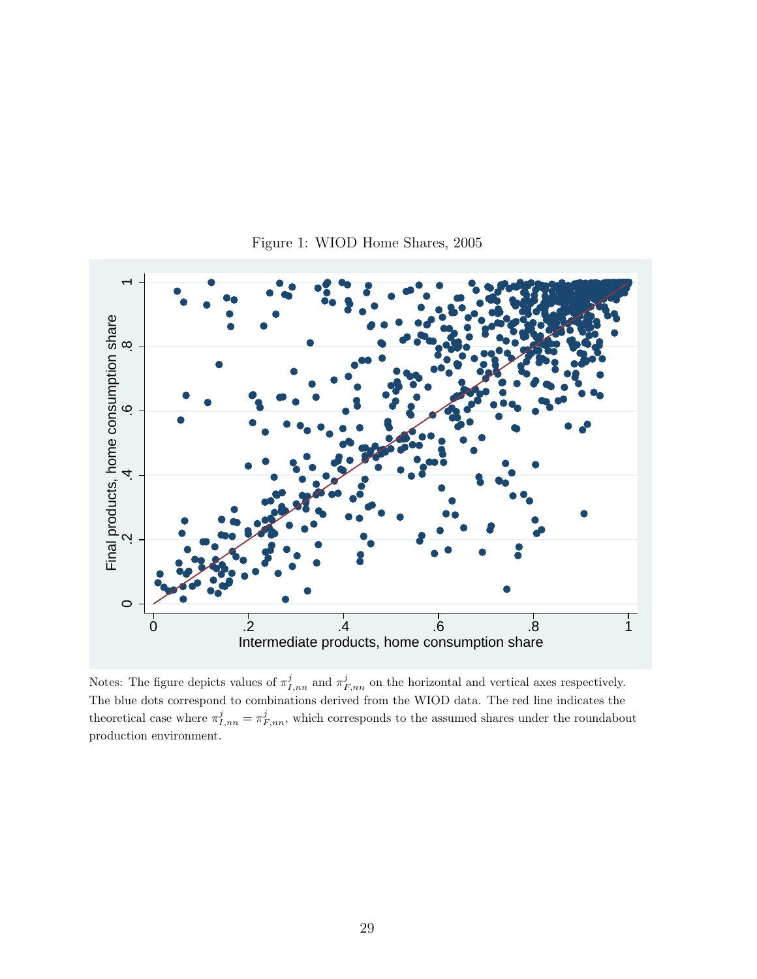

Figure 1: WIOD Home Shares, 2005

Notes: The figure depicts values of  $\pi^j_{I,nn}$  and  $\pi^j_{F,nn}$  on the horizontal and vertical axes respectively. The blue dots correspond to combinations derived from the WIOD data. The red line indicates the theoretical case where  $\pi^j_{I,nn} = \pi^j_{F,nn}$ , which corresponds to the assumed shares under the roundabout production environment.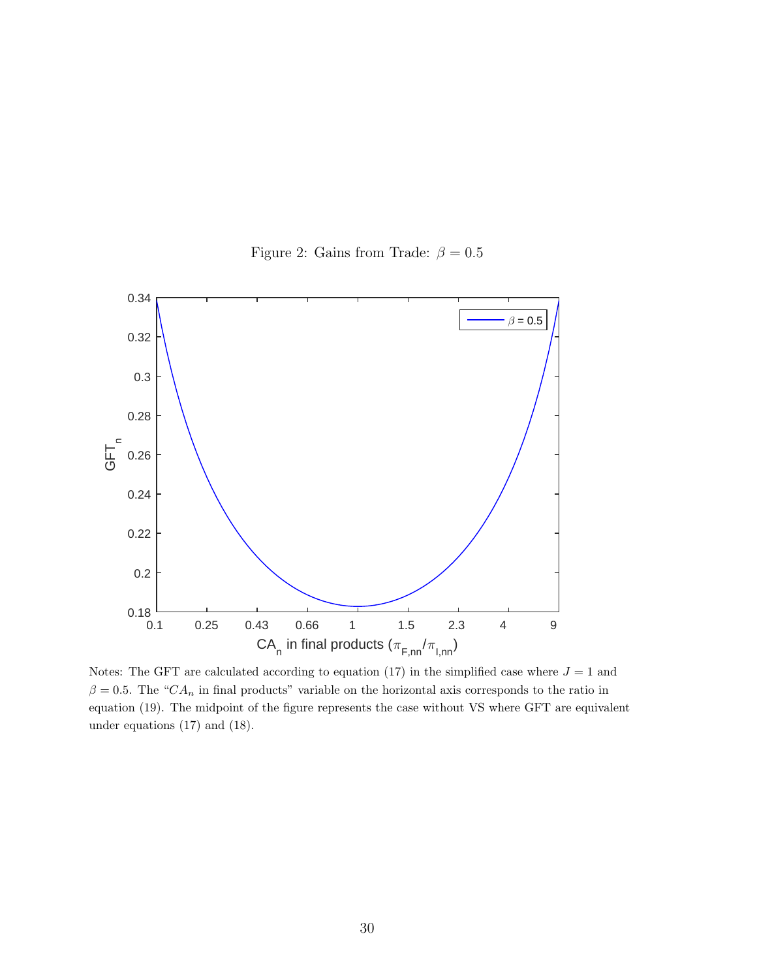

Figure 2: Gains from Trade:  $\beta = 0.5$ 

Notes: The GFT are calculated according to equation (17) in the simplified case where  $J = 1$  and  $\beta = 0.5$ . The "CA<sub>n</sub> in final products" variable on the horizontal axis corresponds to the ratio in equation (19). The midpoint of the figure represents the case without VS where GFT are equivalent under equations (17) and (18).